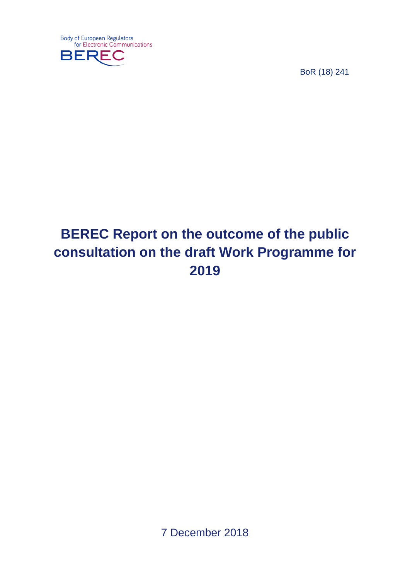

BoR (18) 241

# **BEREC Report on the outcome of the public consultation on the draft Work Programme for 2019**

7 December 2018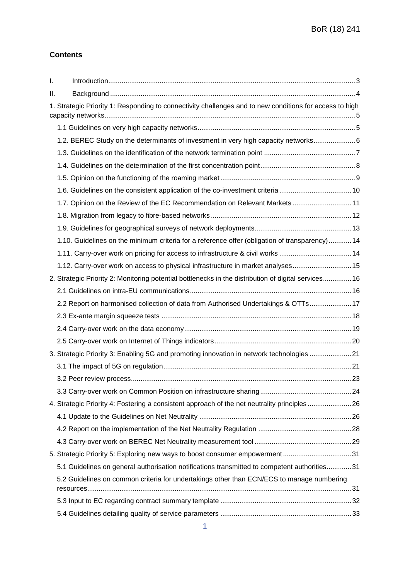#### **Contents**

| $\mathbf{I}$ . |                                                                                                         |  |
|----------------|---------------------------------------------------------------------------------------------------------|--|
| Ш.             |                                                                                                         |  |
|                | 1. Strategic Priority 1: Responding to connectivity challenges and to new conditions for access to high |  |
|                |                                                                                                         |  |
|                | 1.2. BEREC Study on the determinants of investment in very high capacity networks 6                     |  |
|                |                                                                                                         |  |
|                |                                                                                                         |  |
|                |                                                                                                         |  |
|                |                                                                                                         |  |
|                | 1.7. Opinion on the Review of the EC Recommendation on Relevant Markets  11                             |  |
|                |                                                                                                         |  |
|                |                                                                                                         |  |
|                | 1.10. Guidelines on the minimum criteria for a reference offer (obligation of transparency) 14          |  |
|                | 1.11. Carry-over work on pricing for access to infrastructure & civil works  14                         |  |
|                | 1.12. Carry-over work on access to physical infrastructure in market analyses 15                        |  |
|                | 2. Strategic Priority 2: Monitoring potential bottlenecks in the distribution of digital services 16    |  |
|                |                                                                                                         |  |
|                | 2.2 Report on harmonised collection of data from Authorised Undertakings & OTTs 17                      |  |
|                |                                                                                                         |  |
|                |                                                                                                         |  |
|                |                                                                                                         |  |
|                | 3. Strategic Priority 3: Enabling 5G and promoting innovation in network technologies 21                |  |
|                |                                                                                                         |  |
|                |                                                                                                         |  |
|                |                                                                                                         |  |
|                | 4. Strategic Priority 4: Fostering a consistent approach of the net neutrality principles 26            |  |
|                |                                                                                                         |  |
|                |                                                                                                         |  |
|                |                                                                                                         |  |
|                | 5. Strategic Priority 5: Exploring new ways to boost consumer empowerment31                             |  |
|                | 5.1 Guidelines on general authorisation notifications transmitted to competent authorities31            |  |
|                | 5.2 Guidelines on common criteria for undertakings other than ECN/ECS to manage numbering               |  |
|                |                                                                                                         |  |
|                |                                                                                                         |  |
|                |                                                                                                         |  |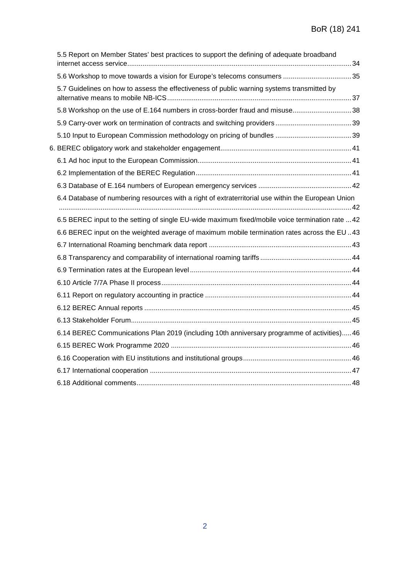| 5.5 Report on Member States' best practices to support the defining of adequate broadband          |  |
|----------------------------------------------------------------------------------------------------|--|
|                                                                                                    |  |
| 5.7 Guidelines on how to assess the effectiveness of public warning systems transmitted by         |  |
| 5.8 Workshop on the use of E.164 numbers in cross-border fraud and misuse38                        |  |
|                                                                                                    |  |
|                                                                                                    |  |
|                                                                                                    |  |
|                                                                                                    |  |
|                                                                                                    |  |
|                                                                                                    |  |
| 6.4 Database of numbering resources with a right of extraterritorial use within the European Union |  |
| 6.5 BEREC input to the setting of single EU-wide maximum fixed/mobile voice termination rate  42   |  |
| 6.6 BEREC input on the weighted average of maximum mobile termination rates across the EU 43       |  |
|                                                                                                    |  |
|                                                                                                    |  |
|                                                                                                    |  |
|                                                                                                    |  |
|                                                                                                    |  |
|                                                                                                    |  |
|                                                                                                    |  |
| 6.14 BEREC Communications Plan 2019 (including 10th anniversary programme of activities) 46        |  |
|                                                                                                    |  |
|                                                                                                    |  |
|                                                                                                    |  |
|                                                                                                    |  |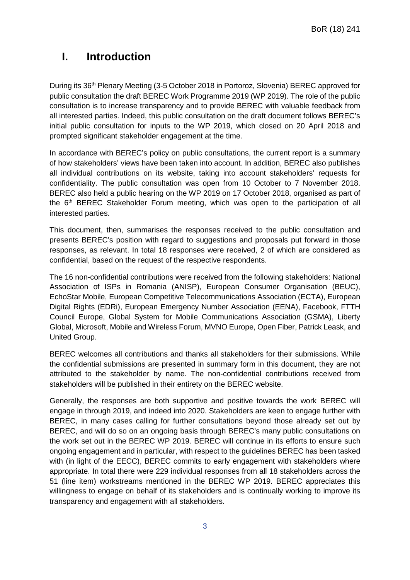## <span id="page-3-0"></span>**I. Introduction**

During its 36th Plenary Meeting (3-5 October 2018 in Portoroz, Slovenia) BEREC approved for public consultation the [draft BEREC Work Programme 2019](http://berec.europa.eu/eng/document_register/subject_matter/berec/download/0/7292-draft-berec-work-programme-2018_0.pdf) (WP 2019). The role of the public consultation is to increase transparency and to provide BEREC with valuable feedback from all interested parties. Indeed, this public consultation on the draft document follows BEREC's initial public consultation for inputs to the WP 2019, which closed on 20 April 2018 and prompted significant stakeholder engagement at the time.

In accordance with BEREC's policy on public consultations, the current report is a summary of how stakeholders' views have been taken into account. In addition, BEREC also publishes all individual contributions on its website, taking into account stakeholders' requests for confidentiality. The public consultation was open from 10 October to 7 November 2018. BEREC also held a public hearing on the WP 2019 on 17 October 2018, organised as part of the 6th BEREC Stakeholder Forum meeting, which was open to the participation of all interested parties.

This document, then, summarises the responses received to the public consultation and presents BEREC's position with regard to suggestions and proposals put forward in those responses, as relevant. In total 18 responses were received, 2 of which are considered as confidential, based on the request of the respective respondents.

The 16 non-confidential contributions were received from the following stakeholders: National Association of ISPs in Romania (ANISP), European Consumer Organisation (BEUC), EchoStar Mobile, European Competitive Telecommunications Association (ECTA), European Digital Rights (EDRi), European Emergency Number Association (EENA), Facebook, FTTH Council Europe, Global System for Mobile Communications Association (GSMA), Liberty Global, Microsoft, Mobile and Wireless Forum, MVNO Europe, Open Fiber, Patrick Leask, and United Group.

BEREC welcomes all contributions and thanks all stakeholders for their submissions. While the confidential submissions are presented in summary form in this document, they are not attributed to the stakeholder by name. The non-confidential contributions received from stakeholders will be published in their entirety on the BEREC website.

Generally, the responses are both supportive and positive towards the work BEREC will engage in through 2019, and indeed into 2020. Stakeholders are keen to engage further with BEREC, in many cases calling for further consultations beyond those already set out by BEREC, and will do so on an ongoing basis through BEREC's many public consultations on the work set out in the BEREC WP 2019. BEREC will continue in its efforts to ensure such ongoing engagement and in particular, with respect to the guidelines BEREC has been tasked with (in light of the EECC), BEREC commits to early engagement with stakeholders where appropriate. In total there were 229 individual responses from all 18 stakeholders across the 51 (line item) workstreams mentioned in the BEREC WP 2019. BEREC appreciates this willingness to engage on behalf of its stakeholders and is continually working to improve its transparency and engagement with all stakeholders.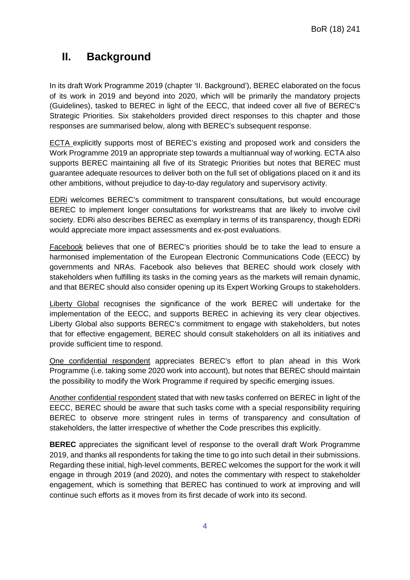## <span id="page-4-0"></span>**II. Background**

In its draft Work Programme 2019 (chapter 'II. Background'), BEREC elaborated on the focus of its work in 2019 and beyond into 2020, which will be primarily the mandatory projects (Guidelines), tasked to BEREC in light of the EECC, that indeed cover all five of BEREC's Strategic Priorities. Six stakeholders provided direct responses to this chapter and those responses are summarised below, along with BEREC's subsequent response.

ECTA explicitly supports most of BEREC's existing and proposed work and considers the Work Programme 2019 an appropriate step towards a multiannual way of working. ECTA also supports BEREC maintaining all five of its Strategic Priorities but notes that BEREC must guarantee adequate resources to deliver both on the full set of obligations placed on it and its other ambitions, without prejudice to day-to-day regulatory and supervisory activity.

EDRi welcomes BEREC's commitment to transparent consultations, but would encourage BEREC to implement longer consultations for workstreams that are likely to involve civil society. EDRi also describes BEREC as exemplary in terms of its transparency, though EDRi would appreciate more impact assessments and ex-post evaluations.

Facebook believes that one of BEREC's priorities should be to take the lead to ensure a harmonised implementation of the European Electronic Communications Code (EECC) by governments and NRAs. Facebook also believes that BEREC should work closely with stakeholders when fulfilling its tasks in the coming years as the markets will remain dynamic, and that BEREC should also consider opening up its Expert Working Groups to stakeholders.

Liberty Global recognises the significance of the work BEREC will undertake for the implementation of the EECC, and supports BEREC in achieving its very clear objectives. Liberty Global also supports BEREC's commitment to engage with stakeholders, but notes that for effective engagement, BEREC should consult stakeholders on all its initiatives and provide sufficient time to respond.

One confidential respondent appreciates BEREC's effort to plan ahead in this Work Programme (i.e. taking some 2020 work into account), but notes that BEREC should maintain the possibility to modify the Work Programme if required by specific emerging issues.

Another confidential respondent stated that with new tasks conferred on BEREC in light of the EECC, BEREC should be aware that such tasks come with a special responsibility requiring BEREC to observe more stringent rules in terms of transparency and consultation of stakeholders, the latter irrespective of whether the Code prescribes this explicitly.

**BEREC** appreciates the significant level of response to the overall draft Work Programme 2019, and thanks all respondents for taking the time to go into such detail in their submissions. Regarding these initial, high-level comments, BEREC welcomes the support for the work it will engage in through 2019 (and 2020), and notes the commentary with respect to stakeholder engagement, which is something that BEREC has continued to work at improving and will continue such efforts as it moves from its first decade of work into its second.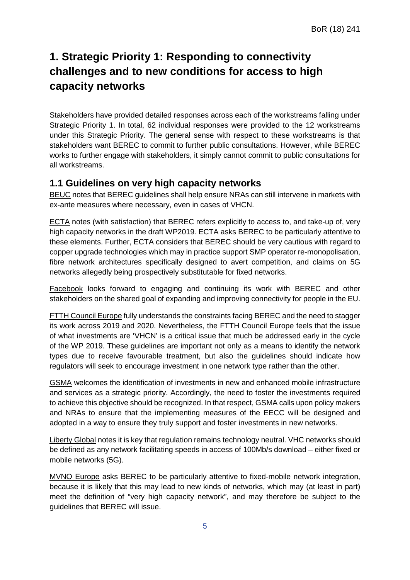## <span id="page-5-0"></span>**1. Strategic Priority 1: Responding to connectivity challenges and to new conditions for access to high capacity networks**

Stakeholders have provided detailed responses across each of the workstreams falling under Strategic Priority 1. In total, 62 individual responses were provided to the 12 workstreams under this Strategic Priority. The general sense with respect to these workstreams is that stakeholders want BEREC to commit to further public consultations. However, while BEREC works to further engage with stakeholders, it simply cannot commit to public consultations for all workstreams.

### <span id="page-5-1"></span>**1.1 Guidelines on very high capacity networks**

BEUC notes that BEREC guidelines shall help ensure NRAs can still intervene in markets with ex-ante measures where necessary, even in cases of VHCN.

ECTA notes (with satisfaction) that BEREC refers explicitly to access to, and take-up of, very high capacity networks in the draft WP2019. ECTA asks BEREC to be particularly attentive to these elements. Further, ECTA considers that BEREC should be very cautious with regard to copper upgrade technologies which may in practice support SMP operator re-monopolisation, fibre network architectures specifically designed to avert competition, and claims on 5G networks allegedly being prospectively substitutable for fixed networks.

Facebook looks forward to engaging and continuing its work with BEREC and other stakeholders on the shared goal of expanding and improving connectivity for people in the EU.

FTTH Council Europe fully understands the constraints facing BEREC and the need to stagger its work across 2019 and 2020. Nevertheless, the FTTH Council Europe feels that the issue of what investments are 'VHCN' is a critical issue that much be addressed early in the cycle of the WP 2019. These guidelines are important not only as a means to identify the network types due to receive favourable treatment, but also the guidelines should indicate how regulators will seek to encourage investment in one network type rather than the other.

GSMA welcomes the identification of investments in new and enhanced mobile infrastructure and services as a strategic priority. Accordingly, the need to foster the investments required to achieve this objective should be recognized. In that respect, GSMA calls upon policy makers and NRAs to ensure that the implementing measures of the EECC will be designed and adopted in a way to ensure they truly support and foster investments in new networks.

Liberty Global notes it is key that regulation remains technology neutral. VHC networks should be defined as any network facilitating speeds in access of 100Mb/s download – either fixed or mobile networks (5G).

MVNO Europe asks BEREC to be particularly attentive to fixed-mobile network integration, because it is likely that this may lead to new kinds of networks, which may (at least in part) meet the definition of "very high capacity network", and may therefore be subject to the guidelines that BEREC will issue.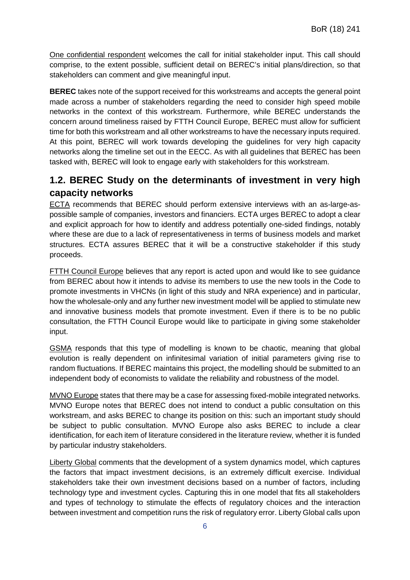One confidential respondent welcomes the call for initial stakeholder input. This call should comprise, to the extent possible, sufficient detail on BEREC's initial plans/direction, so that stakeholders can comment and give meaningful input.

**BEREC** takes note of the support received for this workstreams and accepts the general point made across a number of stakeholders regarding the need to consider high speed mobile networks in the context of this workstream. Furthermore, while BEREC understands the concern around timeliness raised by FTTH Council Europe, BEREC must allow for sufficient time for both this workstream and all other workstreams to have the necessary inputs required. At this point, BEREC will work towards developing the guidelines for very high capacity networks along the timeline set out in the EECC. As with all guidelines that BEREC has been tasked with, BEREC will look to engage early with stakeholders for this workstream.

## <span id="page-6-0"></span>**1.2. BEREC Study on the determinants of investment in very high capacity networks**

ECTA recommends that BEREC should perform extensive interviews with an as-large-aspossible sample of companies, investors and financiers. ECTA urges BEREC to adopt a clear and explicit approach for how to identify and address potentially one-sided findings, notably where these are due to a lack of representativeness in terms of business models and market structures. ECTA assures BEREC that it will be a constructive stakeholder if this study proceeds.

FTTH Council Europe believes that any report is acted upon and would like to see guidance from BEREC about how it intends to advise its members to use the new tools in the Code to promote investments in VHCNs (in light of this study and NRA experience) and in particular, how the wholesale-only and any further new investment model will be applied to stimulate new and innovative business models that promote investment. Even if there is to be no public consultation, the FTTH Council Europe would like to participate in giving some stakeholder input.

GSMA responds that this type of modelling is known to be chaotic, meaning that global evolution is really dependent on infinitesimal variation of initial parameters giving rise to random fluctuations. If BEREC maintains this project, the modelling should be submitted to an independent body of economists to validate the reliability and robustness of the model.

MVNO Europe states that there may be a case for assessing fixed-mobile integrated networks. MVNO Europe notes that BEREC does not intend to conduct a public consultation on this workstream, and asks BEREC to change its position on this: such an important study should be subject to public consultation. MVNO Europe also asks BEREC to include a clear identification, for each item of literature considered in the literature review, whether it is funded by particular industry stakeholders.

Liberty Global comments that the development of a system dynamics model, which captures the factors that impact investment decisions, is an extremely difficult exercise. Individual stakeholders take their own investment decisions based on a number of factors, including technology type and investment cycles. Capturing this in one model that fits all stakeholders and types of technology to stimulate the effects of regulatory choices and the interaction between investment and competition runs the risk of regulatory error. Liberty Global calls upon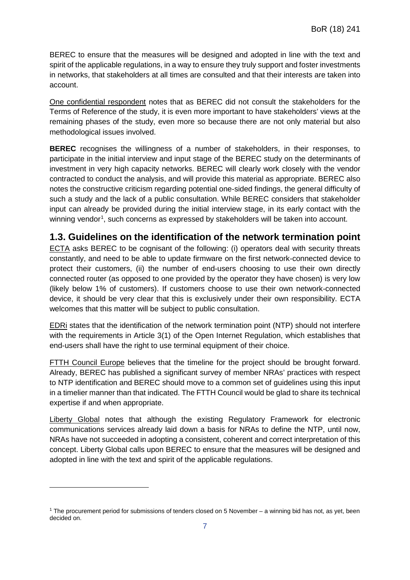BEREC to ensure that the measures will be designed and adopted in line with the text and spirit of the applicable regulations, in a way to ensure they truly support and foster investments in networks, that stakeholders at all times are consulted and that their interests are taken into account.

One confidential respondent notes that as BEREC did not consult the stakeholders for the Terms of Reference of the study, it is even more important to have stakeholders' views at the remaining phases of the study, even more so because there are not only material but also methodological issues involved.

**BEREC** recognises the willingness of a number of stakeholders, in their responses, to participate in the initial interview and input stage of the BEREC study on the determinants of investment in very high capacity networks. BEREC will clearly work closely with the vendor contracted to conduct the analysis, and will provide this material as appropriate. BEREC also notes the constructive criticism regarding potential one-sided findings, the general difficulty of such a study and the lack of a public consultation. While BEREC considers that stakeholder input can already be provided during the initial interview stage, in its early contact with the winning vendor<sup>[1](#page-7-1)</sup>, such concerns as expressed by stakeholders will be taken into account.

#### <span id="page-7-0"></span>**1.3. Guidelines on the identification of the network termination point**

ECTA asks BEREC to be cognisant of the following: (i) operators deal with security threats constantly, and need to be able to update firmware on the first network-connected device to protect their customers, (ii) the number of end-users choosing to use their own directly connected router (as opposed to one provided by the operator they have chosen) is very low (likely below 1% of customers). If customers choose to use their own network-connected device, it should be very clear that this is exclusively under their own responsibility. ECTA welcomes that this matter will be subject to public consultation.

EDRi states that the identification of the network termination point (NTP) should not interfere with the requirements in Article 3(1) of the Open Internet Regulation, which establishes that end-users shall have the right to use terminal equipment of their choice.

FTTH Council Europe believes that the timeline for the project should be brought forward. Already, BEREC has published a significant survey of member NRAs' practices with respect to NTP identification and BEREC should move to a common set of guidelines using this input in a timelier manner than that indicated. The FTTH Council would be glad to share its technical expertise if and when appropriate.

Liberty Global notes that although the existing Regulatory Framework for electronic communications services already laid down a basis for NRAs to define the NTP, until now, NRAs have not succeeded in adopting a consistent, coherent and correct interpretation of this concept. Liberty Global calls upon BEREC to ensure that the measures will be designed and adopted in line with the text and spirit of the applicable regulations.

-

<span id="page-7-1"></span><sup>1</sup> The procurement period for submissions of tenders closed on 5 November – a winning bid has not, as yet, been decided on.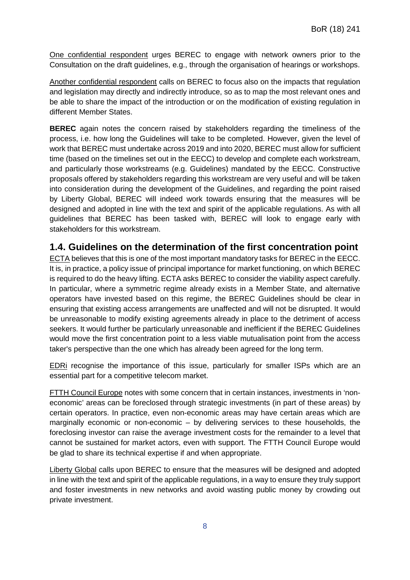One confidential respondent urges BEREC to engage with network owners prior to the Consultation on the draft guidelines, e.g., through the organisation of hearings or workshops.

Another confidential respondent calls on BEREC to focus also on the impacts that regulation and legislation may directly and indirectly introduce, so as to map the most relevant ones and be able to share the impact of the introduction or on the modification of existing regulation in different Member States.

**BEREC** again notes the concern raised by stakeholders regarding the timeliness of the process, i.e. how long the Guidelines will take to be completed. However, given the level of work that BEREC must undertake across 2019 and into 2020, BEREC must allow for sufficient time (based on the timelines set out in the EECC) to develop and complete each workstream, and particularly those workstreams (e.g. Guidelines) mandated by the EECC. Constructive proposals offered by stakeholders regarding this workstream are very useful and will be taken into consideration during the development of the Guidelines, and regarding the point raised by Liberty Global, BEREC will indeed work towards ensuring that the measures will be designed and adopted in line with the text and spirit of the applicable regulations. As with all guidelines that BEREC has been tasked with, BEREC will look to engage early with stakeholders for this workstream.

#### <span id="page-8-0"></span>**1.4. Guidelines on the determination of the first concentration point**

ECTA believes that this is one of the most important mandatory tasks for BEREC in the EECC. It is, in practice, a policy issue of principal importance for market functioning, on which BEREC is required to do the heavy lifting. ECTA asks BEREC to consider the viability aspect carefully. In particular, where a symmetric regime already exists in a Member State, and alternative operators have invested based on this regime, the BEREC Guidelines should be clear in ensuring that existing access arrangements are unaffected and will not be disrupted. It would be unreasonable to modify existing agreements already in place to the detriment of access seekers. It would further be particularly unreasonable and inefficient if the BEREC Guidelines would move the first concentration point to a less viable mutualisation point from the access taker's perspective than the one which has already been agreed for the long term.

EDRi recognise the importance of this issue, particularly for smaller ISPs which are an essential part for a competitive telecom market.

FTTH Council Europe notes with some concern that in certain instances, investments in 'noneconomic' areas can be foreclosed through strategic investments (in part of these areas) by certain operators. In practice, even non-economic areas may have certain areas which are marginally economic or non-economic – by delivering services to these households, the foreclosing investor can raise the average investment costs for the remainder to a level that cannot be sustained for market actors, even with support. The FTTH Council Europe would be glad to share its technical expertise if and when appropriate.

Liberty Global calls upon BEREC to ensure that the measures will be designed and adopted in line with the text and spirit of the applicable regulations, in a way to ensure they truly support and foster investments in new networks and avoid wasting public money by crowding out private investment.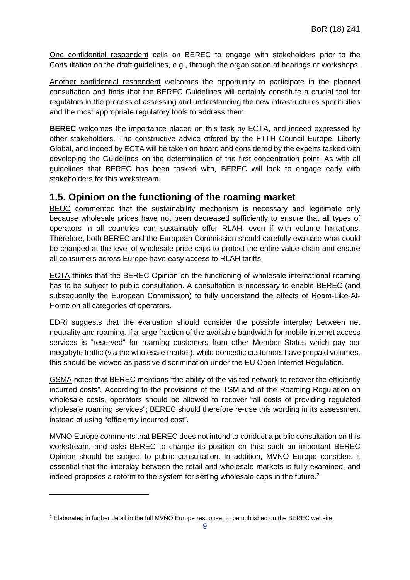One confidential respondent calls on BEREC to engage with stakeholders prior to the Consultation on the draft guidelines, e.g., through the organisation of hearings or workshops.

Another confidential respondent welcomes the opportunity to participate in the planned consultation and finds that the BEREC Guidelines will certainly constitute a crucial tool for regulators in the process of assessing and understanding the new infrastructures specificities and the most appropriate regulatory tools to address them.

**BEREC** welcomes the importance placed on this task by ECTA, and indeed expressed by other stakeholders. The constructive advice offered by the FTTH Council Europe, Liberty Global, and indeed by ECTA will be taken on board and considered by the experts tasked with developing the Guidelines on the determination of the first concentration point. As with all guidelines that BEREC has been tasked with, BEREC will look to engage early with stakeholders for this workstream.

#### <span id="page-9-0"></span>**1.5. Opinion on the functioning of the roaming market**

BEUC commented that the sustainability mechanism is necessary and legitimate only because wholesale prices have not been decreased sufficiently to ensure that all types of operators in all countries can sustainably offer RLAH, even if with volume limitations. Therefore, both BEREC and the European Commission should carefully evaluate what could be changed at the level of wholesale price caps to protect the entire value chain and ensure all consumers across Europe have easy access to RLAH tariffs.

ECTA thinks that the BEREC Opinion on the functioning of wholesale international roaming has to be subject to public consultation. A consultation is necessary to enable BEREC (and subsequently the European Commission) to fully understand the effects of Roam-Like-At-Home on all categories of operators.

EDRi suggests that the evaluation should consider the possible interplay between net neutrality and roaming. If a large fraction of the available bandwidth for mobile internet access services is "reserved" for roaming customers from other Member States which pay per megabyte traffic (via the wholesale market), while domestic customers have prepaid volumes, this should be viewed as passive discrimination under the EU Open Internet Regulation.

GSMA notes that BEREC mentions "the ability of the visited network to recover the efficiently incurred costs". According to the provisions of the TSM and of the Roaming Regulation on wholesale costs, operators should be allowed to recover "all costs of providing regulated wholesale roaming services"; BEREC should therefore re-use this wording in its assessment instead of using "efficiently incurred cost".

MVNO Europe comments that BEREC does not intend to conduct a public consultation on this workstream, and asks BEREC to change its position on this: such an important BEREC Opinion should be subject to public consultation. In addition, MVNO Europe considers it essential that the interplay between the retail and wholesale markets is fully examined, and indeed proposes a reform to the system for setting wholesale caps in the future. [2](#page-9-1)

-

<span id="page-9-1"></span><sup>2</sup> Elaborated in further detail in the full MVNO Europe response, to be published on the BEREC website.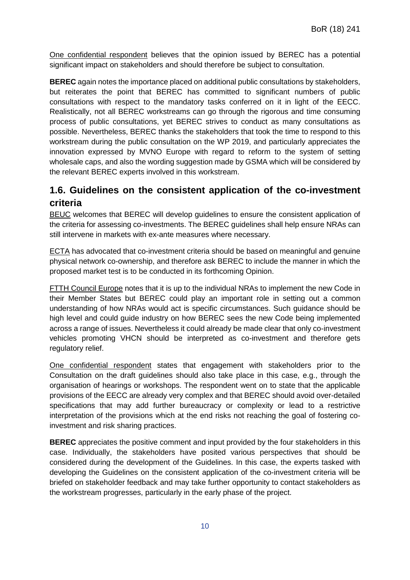One confidential respondent believes that the opinion issued by BEREC has a potential significant impact on stakeholders and should therefore be subject to consultation.

**BEREC** again notes the importance placed on additional public consultations by stakeholders, but reiterates the point that BEREC has committed to significant numbers of public consultations with respect to the mandatory tasks conferred on it in light of the EECC. Realistically, not all BEREC workstreams can go through the rigorous and time consuming process of public consultations, yet BEREC strives to conduct as many consultations as possible. Nevertheless, BEREC thanks the stakeholders that took the time to respond to this workstream during the public consultation on the WP 2019, and particularly appreciates the innovation expressed by MVNO Europe with regard to reform to the system of setting wholesale caps, and also the wording suggestion made by GSMA which will be considered by the relevant BEREC experts involved in this workstream.

## <span id="page-10-0"></span>**1.6. Guidelines on the consistent application of the co-investment criteria**

BEUC welcomes that BEREC will develop guidelines to ensure the consistent application of the criteria for assessing co-investments. The BEREC guidelines shall help ensure NRAs can still intervene in markets with ex-ante measures where necessary.

ECTA has advocated that co-investment criteria should be based on meaningful and genuine physical network co-ownership, and therefore ask BEREC to include the manner in which the proposed market test is to be conducted in its forthcoming Opinion.

FTTH Council Europe notes that it is up to the individual NRAs to implement the new Code in their Member States but BEREC could play an important role in setting out a common understanding of how NRAs would act is specific circumstances. Such guidance should be high level and could guide industry on how BEREC sees the new Code being implemented across a range of issues. Nevertheless it could already be made clear that only co-investment vehicles promoting VHCN should be interpreted as co-investment and therefore gets regulatory relief.

One confidential respondent states that engagement with stakeholders prior to the Consultation on the draft guidelines should also take place in this case, e.g., through the organisation of hearings or workshops. The respondent went on to state that the applicable provisions of the EECC are already very complex and that BEREC should avoid over-detailed specifications that may add further bureaucracy or complexity or lead to a restrictive interpretation of the provisions which at the end risks not reaching the goal of fostering coinvestment and risk sharing practices.

**BEREC** appreciates the positive comment and input provided by the four stakeholders in this case. Individually, the stakeholders have posited various perspectives that should be considered during the development of the Guidelines. In this case, the experts tasked with developing the Guidelines on the consistent application of the co-investment criteria will be briefed on stakeholder feedback and may take further opportunity to contact stakeholders as the workstream progresses, particularly in the early phase of the project.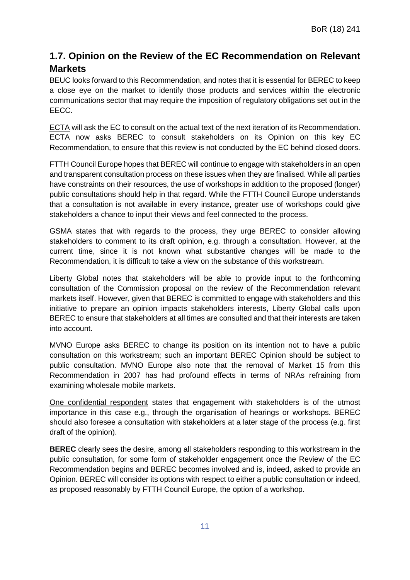## <span id="page-11-0"></span>**1.7. Opinion on the Review of the EC Recommendation on Relevant Markets**

BEUC looks forward to this Recommendation, and notes that it is essential for BEREC to keep a close eye on the market to identify those products and services within the electronic communications sector that may require the imposition of regulatory obligations set out in the EECC.

ECTA will ask the EC to consult on the actual text of the next iteration of its Recommendation. ECTA now asks BEREC to consult stakeholders on its Opinion on this key EC Recommendation, to ensure that this review is not conducted by the EC behind closed doors.

FTTH Council Europe hopes that BEREC will continue to engage with stakeholders in an open and transparent consultation process on these issues when they are finalised. While all parties have constraints on their resources, the use of workshops in addition to the proposed (longer) public consultations should help in that regard. While the FTTH Council Europe understands that a consultation is not available in every instance, greater use of workshops could give stakeholders a chance to input their views and feel connected to the process.

GSMA states that with regards to the process, they urge BEREC to consider allowing stakeholders to comment to its draft opinion, e.g. through a consultation. However, at the current time, since it is not known what substantive changes will be made to the Recommendation, it is difficult to take a view on the substance of this workstream.

Liberty Global notes that stakeholders will be able to provide input to the forthcoming consultation of the Commission proposal on the review of the Recommendation relevant markets itself. However, given that BEREC is committed to engage with stakeholders and this initiative to prepare an opinion impacts stakeholders interests, Liberty Global calls upon BEREC to ensure that stakeholders at all times are consulted and that their interests are taken into account.

MVNO Europe asks BEREC to change its position on its intention not to have a public consultation on this workstream; such an important BEREC Opinion should be subject to public consultation. MVNO Europe also note that the removal of Market 15 from this Recommendation in 2007 has had profound effects in terms of NRAs refraining from examining wholesale mobile markets.

One confidential respondent states that engagement with stakeholders is of the utmost importance in this case e.g., through the organisation of hearings or workshops. BEREC should also foresee a consultation with stakeholders at a later stage of the process (e.g. first draft of the opinion).

**BEREC** clearly sees the desire, among all stakeholders responding to this workstream in the public consultation, for some form of stakeholder engagement once the Review of the EC Recommendation begins and BEREC becomes involved and is, indeed, asked to provide an Opinion. BEREC will consider its options with respect to either a public consultation or indeed, as proposed reasonably by FTTH Council Europe, the option of a workshop.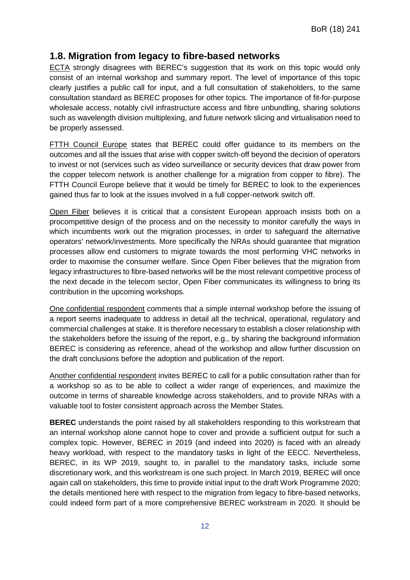### <span id="page-12-0"></span>**1.8. Migration from legacy to fibre-based networks**

ECTA strongly disagrees with BEREC's suggestion that its work on this topic would only consist of an internal workshop and summary report. The level of importance of this topic clearly justifies a public call for input, and a full consultation of stakeholders, to the same consultation standard as BEREC proposes for other topics. The importance of fit-for-purpose wholesale access, notably civil infrastructure access and fibre unbundling, sharing solutions such as wavelength division multiplexing, and future network slicing and virtualisation need to be properly assessed.

FTTH Council Europe states that BEREC could offer guidance to its members on the outcomes and all the issues that arise with copper switch-off beyond the decision of operators to invest or not (services such as video surveillance or security devices that draw power from the copper telecom network is another challenge for a migration from copper to fibre). The FTTH Council Europe believe that it would be timely for BEREC to look to the experiences gained thus far to look at the issues involved in a full copper-network switch off.

Open Fiber believes it is critical that a consistent European approach insists both on a procompetitive design of the process and on the necessity to monitor carefully the ways in which incumbents work out the migration processes, in order to safeguard the alternative operators' network/investments. More specifically the NRAs should guarantee that migration processes allow end customers to migrate towards the most performing VHC networks in order to maximise the consumer welfare. Since Open Fiber believes that the migration from legacy infrastructures to fibre-based networks will be the most relevant competitive process of the next decade in the telecom sector, Open Fiber communicates its willingness to bring its contribution in the upcoming workshops.

One confidential respondent comments that a simple internal workshop before the issuing of a report seems inadequate to address in detail all the technical, operational, regulatory and commercial challenges at stake. It is therefore necessary to establish a closer relationship with the stakeholders before the issuing of the report, e.g., by sharing the background information BEREC is considering as reference, ahead of the workshop and allow further discussion on the draft conclusions before the adoption and publication of the report.

Another confidential respondent invites BEREC to call for a public consultation rather than for a workshop so as to be able to collect a wider range of experiences, and maximize the outcome in terms of shareable knowledge across stakeholders, and to provide NRAs with a valuable tool to foster consistent approach across the Member States.

**BEREC** understands the point raised by all stakeholders responding to this workstream that an internal workshop alone cannot hope to cover and provide a sufficient output for such a complex topic. However, BEREC in 2019 (and indeed into 2020) is faced with an already heavy workload, with respect to the mandatory tasks in light of the EECC. Nevertheless, BEREC, in its WP 2019, sought to, in parallel to the mandatory tasks, include some discretionary work, and this workstream is one such project. In March 2019, BEREC will once again call on stakeholders, this time to provide initial input to the draft Work Programme 2020; the details mentioned here with respect to the migration from legacy to fibre-based networks, could indeed form part of a more comprehensive BEREC workstream in 2020. It should be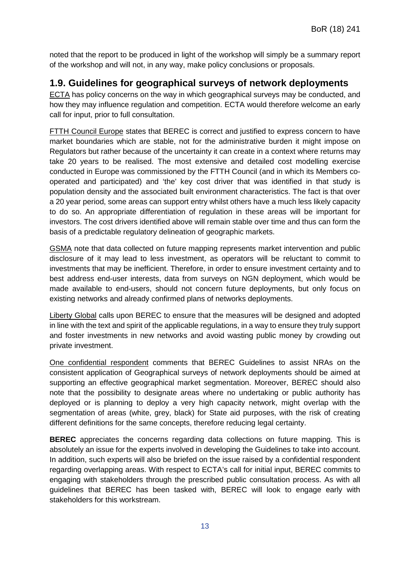noted that the report to be produced in light of the workshop will simply be a summary report of the workshop and will not, in any way, make policy conclusions or proposals.

#### <span id="page-13-0"></span>**1.9. Guidelines for geographical surveys of network deployments**

ECTA has policy concerns on the way in which geographical surveys may be conducted, and how they may influence regulation and competition. ECTA would therefore welcome an early call for input, prior to full consultation.

FTTH Council Europe states that BEREC is correct and justified to express concern to have market boundaries which are stable, not for the administrative burden it might impose on Regulators but rather because of the uncertainty it can create in a context where returns may take 20 years to be realised. The most extensive and detailed cost modelling exercise conducted in Europe was commissioned by the FTTH Council (and in which its Members cooperated and participated) and 'the' key cost driver that was identified in that study is population density and the associated built environment characteristics. The fact is that over a 20 year period, some areas can support entry whilst others have a much less likely capacity to do so. An appropriate differentiation of regulation in these areas will be important for investors. The cost drivers identified above will remain stable over time and thus can form the basis of a predictable regulatory delineation of geographic markets.

GSMA note that data collected on future mapping represents market intervention and public disclosure of it may lead to less investment, as operators will be reluctant to commit to investments that may be inefficient. Therefore, in order to ensure investment certainty and to best address end-user interests, data from surveys on NGN deployment, which would be made available to end-users, should not concern future deployments, but only focus on existing networks and already confirmed plans of networks deployments.

Liberty Global calls upon BEREC to ensure that the measures will be designed and adopted in line with the text and spirit of the applicable regulations, in a way to ensure they truly support and foster investments in new networks and avoid wasting public money by crowding out private investment.

One confidential respondent comments that BEREC Guidelines to assist NRAs on the consistent application of Geographical surveys of network deployments should be aimed at supporting an effective geographical market segmentation. Moreover, BEREC should also note that the possibility to designate areas where no undertaking or public authority has deployed or is planning to deploy a very high capacity network, might overlap with the segmentation of areas (white, grey, black) for State aid purposes, with the risk of creating different definitions for the same concepts, therefore reducing legal certainty.

**BEREC** appreciates the concerns regarding data collections on future mapping. This is absolutely an issue for the experts involved in developing the Guidelines to take into account. In addition, such experts will also be briefed on the issue raised by a confidential respondent regarding overlapping areas. With respect to ECTA's call for initial input, BEREC commits to engaging with stakeholders through the prescribed public consultation process. As with all guidelines that BEREC has been tasked with, BEREC will look to engage early with stakeholders for this workstream.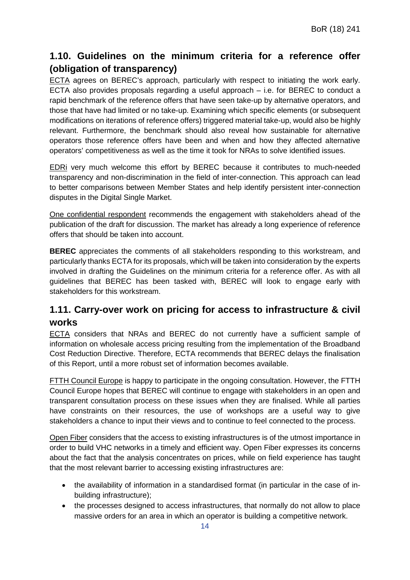## <span id="page-14-0"></span>**1.10. Guidelines on the minimum criteria for a reference offer (obligation of transparency)**

ECTA agrees on BEREC's approach, particularly with respect to initiating the work early. ECTA also provides proposals regarding a useful approach – i.e. for BEREC to conduct a rapid benchmark of the reference offers that have seen take-up by alternative operators, and those that have had limited or no take-up. Examining which specific elements (or subsequent modifications on iterations of reference offers) triggered material take-up, would also be highly relevant. Furthermore, the benchmark should also reveal how sustainable for alternative operators those reference offers have been and when and how they affected alternative operators' competitiveness as well as the time it took for NRAs to solve identified issues.

EDRi very much welcome this effort by BEREC because it contributes to much-needed transparency and non-discrimination in the field of inter-connection. This approach can lead to better comparisons between Member States and help identify persistent inter-connection disputes in the Digital Single Market.

One confidential respondent recommends the engagement with stakeholders ahead of the publication of the draft for discussion. The market has already a long experience of reference offers that should be taken into account.

**BEREC** appreciates the comments of all stakeholders responding to this workstream, and particularly thanks ECTA for its proposals, which will be taken into consideration by the experts involved in drafting the Guidelines on the minimum criteria for a reference offer. As with all guidelines that BEREC has been tasked with, BEREC will look to engage early with stakeholders for this workstream.

## <span id="page-14-1"></span>**1.11. Carry-over work on pricing for access to infrastructure & civil works**

ECTA considers that NRAs and BEREC do not currently have a sufficient sample of information on wholesale access pricing resulting from the implementation of the Broadband Cost Reduction Directive. Therefore, ECTA recommends that BEREC delays the finalisation of this Report, until a more robust set of information becomes available.

FTTH Council Europe is happy to participate in the ongoing consultation. However, the FTTH Council Europe hopes that BEREC will continue to engage with stakeholders in an open and transparent consultation process on these issues when they are finalised. While all parties have constraints on their resources, the use of workshops are a useful way to give stakeholders a chance to input their views and to continue to feel connected to the process.

Open Fiber considers that the access to existing infrastructures is of the utmost importance in order to build VHC networks in a timely and efficient way. Open Fiber expresses its concerns about the fact that the analysis concentrates on prices, while on field experience has taught that the most relevant barrier to accessing existing infrastructures are:

- the availability of information in a standardised format (in particular in the case of inbuilding infrastructure);
- the processes designed to access infrastructures, that normally do not allow to place massive orders for an area in which an operator is building a competitive network.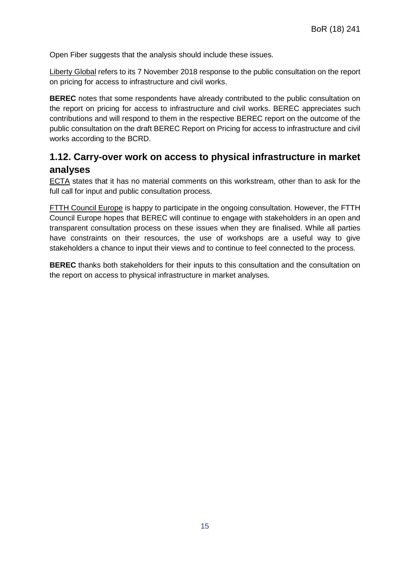Open Fiber suggests that the analysis should include these issues.

Liberty Global refers to its 7 November 2018 response to the public consultation on the report on pricing for access to infrastructure and civil works.

**BEREC** notes that some respondents have already contributed to the public consultation on the report on pricing for access to infrastructure and civil works. BEREC appreciates such contributions and will respond to them in the respective BEREC report on the outcome of the public consultation on the draft BEREC Report on Pricing for access to infrastructure and civil works according to the BCRD.

## <span id="page-15-0"></span>**1.12. Carry-over work on access to physical infrastructure in market analyses**

ECTA states that it has no material comments on this workstream, other than to ask for the full call for input and public consultation process.

FTTH Council Europe is happy to participate in the ongoing consultation. However, the FTTH Council Europe hopes that BEREC will continue to engage with stakeholders in an open and transparent consultation process on these issues when they are finalised. While all parties have constraints on their resources, the use of workshops are a useful way to give stakeholders a chance to input their views and to continue to feel connected to the process.

**BEREC** thanks both stakeholders for their inputs to this consultation and the consultation on the report on access to physical infrastructure in market analyses.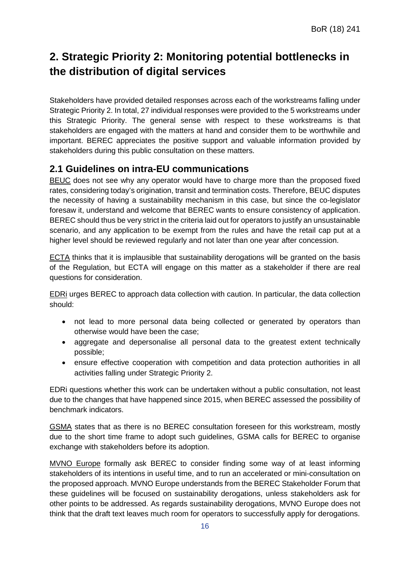## <span id="page-16-0"></span>**2. Strategic Priority 2: Monitoring potential bottlenecks in the distribution of digital services**

Stakeholders have provided detailed responses across each of the workstreams falling under Strategic Priority 2. In total, 27 individual responses were provided to the 5 workstreams under this Strategic Priority. The general sense with respect to these workstreams is that stakeholders are engaged with the matters at hand and consider them to be worthwhile and important. BEREC appreciates the positive support and valuable information provided by stakeholders during this public consultation on these matters.

## <span id="page-16-1"></span>**2.1 Guidelines on intra-EU communications**

BEUC does not see why any operator would have to charge more than the proposed fixed rates, considering today's origination, transit and termination costs. Therefore, BEUC disputes the necessity of having a sustainability mechanism in this case, but since the co-legislator foresaw it, understand and welcome that BEREC wants to ensure consistency of application. BEREC should thus be very strict in the criteria laid out for operators to justify an unsustainable scenario, and any application to be exempt from the rules and have the retail cap put at a higher level should be reviewed regularly and not later than one year after concession.

ECTA thinks that it is implausible that sustainability derogations will be granted on the basis of the Regulation, but ECTA will engage on this matter as a stakeholder if there are real questions for consideration.

EDRi urges BEREC to approach data collection with caution. In particular, the data collection should:

- not lead to more personal data being collected or generated by operators than otherwise would have been the case;
- aggregate and depersonalise all personal data to the greatest extent technically possible;
- ensure effective cooperation with competition and data protection authorities in all activities falling under Strategic Priority 2.

EDRi questions whether this work can be undertaken without a public consultation, not least due to the changes that have happened since 2015, when BEREC assessed the possibility of benchmark indicators.

GSMA states that as there is no BEREC consultation foreseen for this workstream, mostly due to the short time frame to adopt such guidelines, GSMA calls for BEREC to organise exchange with stakeholders before its adoption.

MVNO Europe formally ask BEREC to consider finding some way of at least informing stakeholders of its intentions in useful time, and to run an accelerated or mini-consultation on the proposed approach. MVNO Europe understands from the BEREC Stakeholder Forum that these guidelines will be focused on sustainability derogations, unless stakeholders ask for other points to be addressed. As regards sustainability derogations, MVNO Europe does not think that the draft text leaves much room for operators to successfully apply for derogations.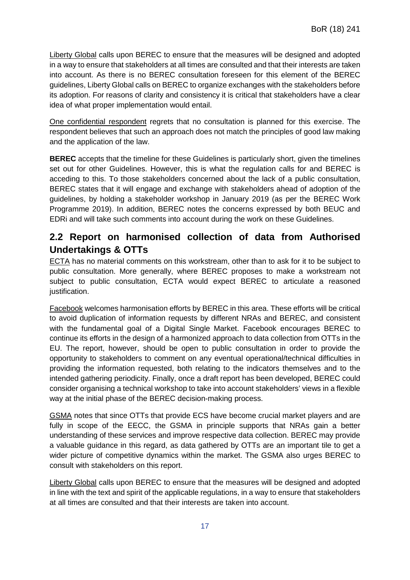Liberty Global calls upon BEREC to ensure that the measures will be designed and adopted in a way to ensure that stakeholders at all times are consulted and that their interests are taken into account. As there is no BEREC consultation foreseen for this element of the BEREC guidelines, Liberty Global calls on BEREC to organize exchanges with the stakeholders before its adoption. For reasons of clarity and consistency it is critical that stakeholders have a clear idea of what proper implementation would entail.

One confidential respondent regrets that no consultation is planned for this exercise. The respondent believes that such an approach does not match the principles of good law making and the application of the law.

**BEREC** accepts that the timeline for these Guidelines is particularly short, given the timelines set out for other Guidelines. However, this is what the regulation calls for and BEREC is acceding to this. To those stakeholders concerned about the lack of a public consultation, BEREC states that it will engage and exchange with stakeholders ahead of adoption of the guidelines, by holding a stakeholder workshop in January 2019 (as per the BEREC Work Programme 2019). In addition, BEREC notes the concerns expressed by both BEUC and EDRi and will take such comments into account during the work on these Guidelines.

## <span id="page-17-0"></span>**2.2 Report on harmonised collection of data from Authorised Undertakings & OTTs**

ECTA has no material comments on this workstream, other than to ask for it to be subject to public consultation. More generally, where BEREC proposes to make a workstream not subject to public consultation, ECTA would expect BEREC to articulate a reasoned justification.

Facebook welcomes harmonisation efforts by BEREC in this area. These efforts will be critical to avoid duplication of information requests by different NRAs and BEREC, and consistent with the fundamental goal of a Digital Single Market. Facebook encourages BEREC to continue its efforts in the design of a harmonized approach to data collection from OTTs in the EU. The report, however, should be open to public consultation in order to provide the opportunity to stakeholders to comment on any eventual operational/technical difficulties in providing the information requested, both relating to the indicators themselves and to the intended gathering periodicity. Finally, once a draft report has been developed, BEREC could consider organising a technical workshop to take into account stakeholders' views in a flexible way at the initial phase of the BEREC decision-making process.

GSMA notes that since OTTs that provide ECS have become crucial market players and are fully in scope of the EECC, the GSMA in principle supports that NRAs gain a better understanding of these services and improve respective data collection. BEREC may provide a valuable guidance in this regard, as data gathered by OTTs are an important tile to get a wider picture of competitive dynamics within the market. The GSMA also urges BEREC to consult with stakeholders on this report.

Liberty Global calls upon BEREC to ensure that the measures will be designed and adopted in line with the text and spirit of the applicable regulations, in a way to ensure that stakeholders at all times are consulted and that their interests are taken into account.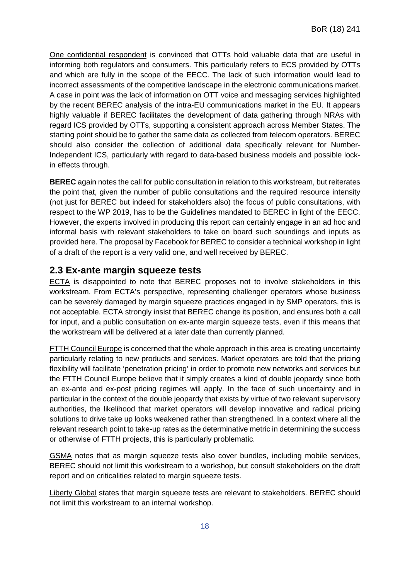One confidential respondent is convinced that OTTs hold valuable data that are useful in informing both regulators and consumers. This particularly refers to ECS provided by OTTs and which are fully in the scope of the EECC. The lack of such information would lead to incorrect assessments of the competitive landscape in the electronic communications market. A case in point was the lack of information on OTT voice and messaging services highlighted by the recent BEREC analysis of the intra-EU communications market in the EU. It appears highly valuable if BEREC facilitates the development of data gathering through NRAs with regard ICS provided by OTTs, supporting a consistent approach across Member States. The starting point should be to gather the same data as collected from telecom operators. BEREC should also consider the collection of additional data specifically relevant for Number-Independent ICS, particularly with regard to data-based business models and possible lockin effects through.

**BEREC** again notes the call for public consultation in relation to this workstream, but reiterates the point that, given the number of public consultations and the required resource intensity (not just for BEREC but indeed for stakeholders also) the focus of public consultations, with respect to the WP 2019, has to be the Guidelines mandated to BEREC in light of the EECC. However, the experts involved in producing this report can certainly engage in an ad hoc and informal basis with relevant stakeholders to take on board such soundings and inputs as provided here. The proposal by Facebook for BEREC to consider a technical workshop in light of a draft of the report is a very valid one, and well received by BEREC.

#### <span id="page-18-0"></span>**2.3 Ex-ante margin squeeze tests**

ECTA is disappointed to note that BEREC proposes not to involve stakeholders in this workstream. From ECTA's perspective, representing challenger operators whose business can be severely damaged by margin squeeze practices engaged in by SMP operators, this is not acceptable. ECTA strongly insist that BEREC change its position, and ensures both a call for input, and a public consultation on ex-ante margin squeeze tests, even if this means that the workstream will be delivered at a later date than currently planned.

FTTH Council Europe is concerned that the whole approach in this area is creating uncertainty particularly relating to new products and services. Market operators are told that the pricing flexibility will facilitate 'penetration pricing' in order to promote new networks and services but the FTTH Council Europe believe that it simply creates a kind of double jeopardy since both an ex-ante and ex-post pricing regimes will apply. In the face of such uncertainty and in particular in the context of the double jeopardy that exists by virtue of two relevant supervisory authorities, the likelihood that market operators will develop innovative and radical pricing solutions to drive take up looks weakened rather than strengthened. In a context where all the relevant research point to take-up rates as the determinative metric in determining the success or otherwise of FTTH projects, this is particularly problematic.

GSMA notes that as margin squeeze tests also cover bundles, including mobile services, BEREC should not limit this workstream to a workshop, but consult stakeholders on the draft report and on criticalities related to margin squeeze tests.

Liberty Global states that margin squeeze tests are relevant to stakeholders. BEREC should not limit this workstream to an internal workshop.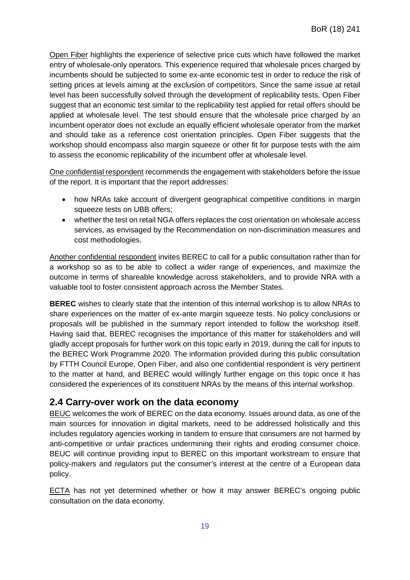Open Fiber highlights the experience of selective price cuts which have followed the market entry of wholesale-only operators. This experience required that wholesale prices charged by incumbents should be subjected to some ex-ante economic test in order to reduce the risk of setting prices at levels aiming at the exclusion of competitors. Since the same issue at retail level has been successfully solved through the development of replicability tests, Open Fiber suggest that an economic test similar to the replicability test applied for retail offers should be applied at wholesale level. The test should ensure that the wholesale price charged by an incumbent operator does not exclude an equally efficient wholesale operator from the market and should take as a reference cost orientation principles. Open Fiber suggests that the workshop should encompass also margin squeeze or other fit for purpose tests with the aim to assess the economic replicability of the incumbent offer at wholesale level.

One confidential respondent recommends the engagement with stakeholders before the issue of the report. It is important that the report addresses:

- how NRAs take account of divergent geographical competitive conditions in margin squeeze tests on UBB offers;
- whether the test on retail NGA offers replaces the cost orientation on wholesale access services, as envisaged by the Recommendation on non-discrimination measures and cost methodologies.

Another confidential respondent invites BEREC to call for a public consultation rather than for a workshop so as to be able to collect a wider range of experiences, and maximize the outcome in terms of shareable knowledge across stakeholders, and to provide NRA with a valuable tool to foster consistent approach across the Member States.

**BEREC** wishes to clearly state that the intention of this internal workshop is to allow NRAs to share experiences on the matter of ex-ante margin squeeze tests. No policy conclusions or proposals will be published in the summary report intended to follow the workshop itself. Having said that, BEREC recognises the importance of this matter for stakeholders and will gladly accept proposals for further work on this topic early in 2019, during the call for inputs to the BEREC Work Programme 2020. The information provided during this public consultation by FTTH Council Europe, Open Fiber, and also one confidential respondent is very pertinent to the matter at hand, and BEREC would willingly further engage on this topic once it has considered the experiences of its constituent NRAs by the means of this internal workshop.

#### <span id="page-19-0"></span>**2.4 Carry-over work on the data economy**

BEUC welcomes the work of BEREC on the data economy. Issues around data, as one of the main sources for innovation in digital markets, need to be addressed holistically and this includes regulatory agencies working in tandem to ensure that consumers are not harmed by anti-competitive or unfair practices undermining their rights and eroding consumer choice. BEUC will continue providing input to BEREC on this important workstream to ensure that policy-makers and regulators put the consumer's interest at the centre of a European data policy.

ECTA has not yet determined whether or how it may answer BEREC's ongoing public consultation on the data economy.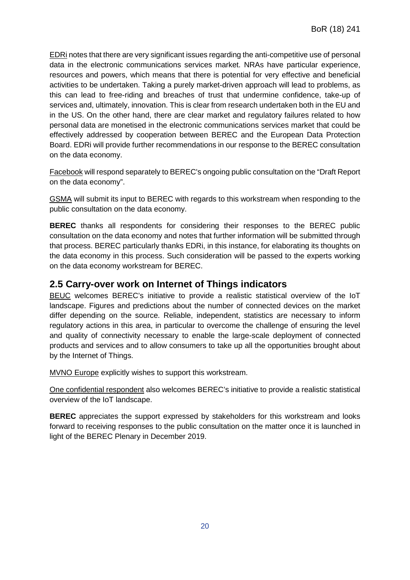EDRi notes that there are very significant issues regarding the anti-competitive use of personal data in the electronic communications services market. NRAs have particular experience, resources and powers, which means that there is potential for very effective and beneficial activities to be undertaken. Taking a purely market-driven approach will lead to problems, as this can lead to free-riding and breaches of trust that undermine confidence, take-up of services and, ultimately, innovation. This is clear from research undertaken both in the EU and in the US. On the other hand, there are clear market and regulatory failures related to how personal data are monetised in the electronic communications services market that could be effectively addressed by cooperation between BEREC and the European Data Protection Board. EDRi will provide further recommendations in our response to the BEREC consultation on the data economy.

Facebook will respond separately to BEREC's ongoing public consultation on the "Draft Report on the data economy".

GSMA will submit its input to BEREC with regards to this workstream when responding to the public consultation on the data economy.

**BEREC** thanks all respondents for considering their responses to the BEREC public consultation on the data economy and notes that further information will be submitted through that process. BEREC particularly thanks EDRi, in this instance, for elaborating its thoughts on the data economy in this process. Such consideration will be passed to the experts working on the data economy workstream for BEREC.

#### <span id="page-20-0"></span>**2.5 Carry-over work on Internet of Things indicators**

BEUC welcomes BEREC's initiative to provide a realistic statistical overview of the IoT landscape. Figures and predictions about the number of connected devices on the market differ depending on the source. Reliable, independent, statistics are necessary to inform regulatory actions in this area, in particular to overcome the challenge of ensuring the level and quality of connectivity necessary to enable the large-scale deployment of connected products and services and to allow consumers to take up all the opportunities brought about by the Internet of Things.

MVNO Europe explicitly wishes to support this workstream.

One confidential respondent also welcomes BEREC's initiative to provide a realistic statistical overview of the IoT landscape.

**BEREC** appreciates the support expressed by stakeholders for this workstream and looks forward to receiving responses to the public consultation on the matter once it is launched in light of the BEREC Plenary in December 2019.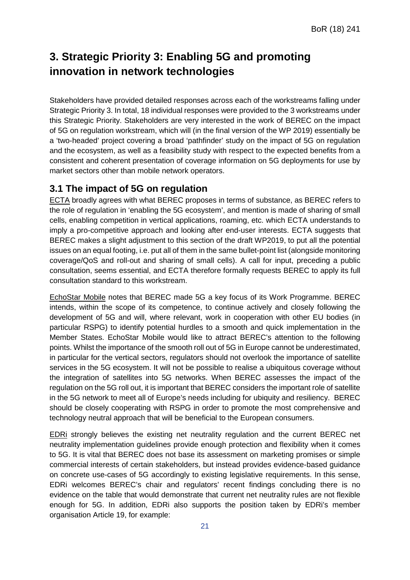## <span id="page-21-0"></span>**3. Strategic Priority 3: Enabling 5G and promoting innovation in network technologies**

Stakeholders have provided detailed responses across each of the workstreams falling under Strategic Priority 3. In total, 18 individual responses were provided to the 3 workstreams under this Strategic Priority. Stakeholders are very interested in the work of BEREC on the impact of 5G on regulation workstream, which will (in the final version of the WP 2019) essentially be a 'two-headed' project covering a broad 'pathfinder' study on the impact of 5G on regulation and the ecosystem, as well as a feasibility study with respect to the expected benefits from a consistent and coherent presentation of coverage information on 5G deployments for use by market sectors other than mobile network operators.

#### <span id="page-21-1"></span>**3.1 The impact of 5G on regulation**

ECTA broadly agrees with what BEREC proposes in terms of substance, as BEREC refers to the role of regulation in 'enabling the 5G ecosystem', and mention is made of sharing of small cells, enabling competition in vertical applications, roaming, etc. which ECTA understands to imply a pro-competitive approach and looking after end-user interests. ECTA suggests that BEREC makes a slight adjustment to this section of the draft WP2019, to put all the potential issues on an equal footing, i.e. put all of them in the same bullet-point list (alongside monitoring coverage/QoS and roll-out and sharing of small cells). A call for input, preceding a public consultation, seems essential, and ECTA therefore formally requests BEREC to apply its full consultation standard to this workstream.

EchoStar Mobile notes that BEREC made 5G a key focus of its Work Programme. BEREC intends, within the scope of its competence, to continue actively and closely following the development of 5G and will, where relevant, work in cooperation with other EU bodies (in particular RSPG) to identify potential hurdles to a smooth and quick implementation in the Member States. EchoStar Mobile would like to attract BEREC's attention to the following points. Whilst the importance of the smooth roll out of 5G in Europe cannot be underestimated, in particular for the vertical sectors, regulators should not overlook the importance of satellite services in the 5G ecosystem. It will not be possible to realise a ubiquitous coverage without the integration of satellites into 5G networks. When BEREC assesses the impact of the regulation on the 5G roll out, it is important that BEREC considers the important role of satellite in the 5G network to meet all of Europe's needs including for ubiquity and resiliency. BEREC should be closely cooperating with RSPG in order to promote the most comprehensive and technology neutral approach that will be beneficial to the European consumers.

EDRi strongly believes the existing net neutrality regulation and the current BEREC net neutrality implementation guidelines provide enough protection and flexibility when it comes to 5G. It is vital that BEREC does not base its assessment on marketing promises or simple commercial interests of certain stakeholders, but instead provides evidence-based guidance on concrete use-cases of 5G accordingly to existing legislative requirements. In this sense, EDRi welcomes BEREC's chair and regulators' recent findings concluding there is no evidence on the table that would demonstrate that current net neutrality rules are not flexible enough for 5G. In addition, EDRi also supports the position taken by EDRi's member organisation Article 19, for example: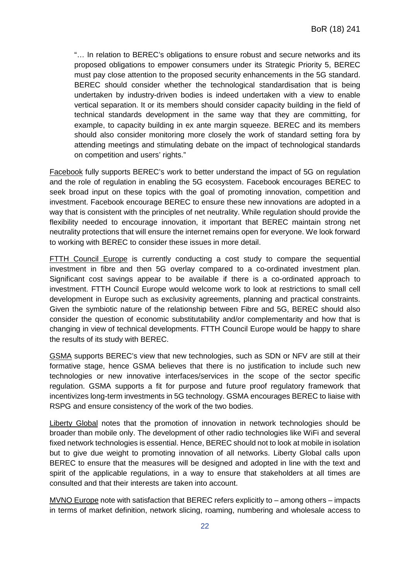"… In relation to BEREC's obligations to ensure robust and secure networks and its proposed obligations to empower consumers under its Strategic Priority 5, BEREC must pay close attention to the proposed security enhancements in the 5G standard. BEREC should consider whether the technological standardisation that is being undertaken by industry-driven bodies is indeed undertaken with a view to enable vertical separation. It or its members should consider capacity building in the field of technical standards development in the same way that they are committing, for example, to capacity building in ex ante margin squeeze. BEREC and its members should also consider monitoring more closely the work of standard setting fora by attending meetings and stimulating debate on the impact of technological standards on competition and users' rights."

Facebook fully supports BEREC's work to better understand the impact of 5G on regulation and the role of regulation in enabling the 5G ecosystem. Facebook encourages BEREC to seek broad input on these topics with the goal of promoting innovation, competition and investment. Facebook encourage BEREC to ensure these new innovations are adopted in a way that is consistent with the principles of net neutrality. While regulation should provide the flexibility needed to encourage innovation, it important that BEREC maintain strong net neutrality protections that will ensure the internet remains open for everyone. We look forward to working with BEREC to consider these issues in more detail.

FTTH Council Europe is currently conducting a cost study to compare the sequential investment in fibre and then 5G overlay compared to a co-ordinated investment plan. Significant cost savings appear to be available if there is a co-ordinated approach to investment. FTTH Council Europe would welcome work to look at restrictions to small cell development in Europe such as exclusivity agreements, planning and practical constraints. Given the symbiotic nature of the relationship between Fibre and 5G, BEREC should also consider the question of economic substitutability and/or complementarity and how that is changing in view of technical developments. FTTH Council Europe would be happy to share the results of its study with BEREC.

GSMA supports BEREC's view that new technologies, such as SDN or NFV are still at their formative stage, hence GSMA believes that there is no justification to include such new technologies or new innovative interfaces/services in the scope of the sector specific regulation. GSMA supports a fit for purpose and future proof regulatory framework that incentivizes long-term investments in 5G technology. GSMA encourages BEREC to liaise with RSPG and ensure consistency of the work of the two bodies.

Liberty Global notes that the promotion of innovation in network technologies should be broader than mobile only. The development of other radio technologies like WiFi and several fixed network technologies is essential. Hence, BEREC should not to look at mobile in isolation but to give due weight to promoting innovation of all networks. Liberty Global calls upon BEREC to ensure that the measures will be designed and adopted in line with the text and spirit of the applicable regulations, in a way to ensure that stakeholders at all times are consulted and that their interests are taken into account.

MVNO Europe note with satisfaction that BEREC refers explicitly to – among others – impacts in terms of market definition, network slicing, roaming, numbering and wholesale access to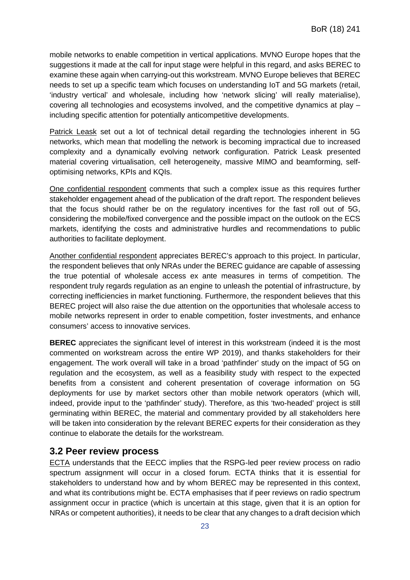mobile networks to enable competition in vertical applications. MVNO Europe hopes that the suggestions it made at the call for input stage were helpful in this regard, and asks BEREC to examine these again when carrying-out this workstream. MVNO Europe believes that BEREC needs to set up a specific team which focuses on understanding IoT and 5G markets (retail, 'industry vertical' and wholesale, including how 'network slicing' will really materialise), covering all technologies and ecosystems involved, and the competitive dynamics at play – including specific attention for potentially anticompetitive developments.

Patrick Leask set out a lot of technical detail regarding the technologies inherent in 5G networks, which mean that modelling the network is becoming impractical due to increased complexity and a dynamically evolving network configuration. Patrick Leask presented material covering virtualisation, cell heterogeneity, massive MIMO and beamforming, selfoptimising networks, KPIs and KQIs.

One confidential respondent comments that such a complex issue as this requires further stakeholder engagement ahead of the publication of the draft report. The respondent believes that the focus should rather be on the regulatory incentives for the fast roll out of 5G, considering the mobile/fixed convergence and the possible impact on the outlook on the ECS markets, identifying the costs and administrative hurdles and recommendations to public authorities to facilitate deployment.

Another confidential respondent appreciates BEREC's approach to this project. In particular, the respondent believes that only NRAs under the BEREC guidance are capable of assessing the true potential of wholesale access ex ante measures in terms of competition. The respondent truly regards regulation as an engine to unleash the potential of infrastructure, by correcting inefficiencies in market functioning. Furthermore, the respondent believes that this BEREC project will also raise the due attention on the opportunities that wholesale access to mobile networks represent in order to enable competition, foster investments, and enhance consumers' access to innovative services.

**BEREC** appreciates the significant level of interest in this workstream (indeed it is the most commented on workstream across the entire WP 2019), and thanks stakeholders for their engagement. The work overall will take in a broad 'pathfinder' study on the impact of 5G on regulation and the ecosystem, as well as a feasibility study with respect to the expected benefits from a consistent and coherent presentation of coverage information on 5G deployments for use by market sectors other than mobile network operators (which will, indeed, provide input to the 'pathfinder' study). Therefore, as this 'two-headed' project is still germinating within BEREC, the material and commentary provided by all stakeholders here will be taken into consideration by the relevant BEREC experts for their consideration as they continue to elaborate the details for the workstream.

#### <span id="page-23-0"></span>**3.2 Peer review process**

ECTA understands that the EECC implies that the RSPG-led peer review process on radio spectrum assignment will occur in a closed forum. ECTA thinks that it is essential for stakeholders to understand how and by whom BEREC may be represented in this context, and what its contributions might be. ECTA emphasises that if peer reviews on radio spectrum assignment occur in practice (which is uncertain at this stage, given that it is an option for NRAs or competent authorities), it needs to be clear that any changes to a draft decision which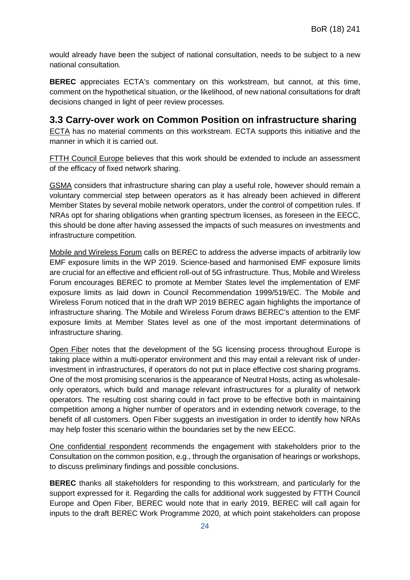would already have been the subject of national consultation, needs to be subject to a new national consultation.

**BEREC** appreciates ECTA's commentary on this workstream, but cannot, at this time, comment on the hypothetical situation, or the likelihood, of new national consultations for draft decisions changed in light of peer review processes.

#### <span id="page-24-0"></span>**3.3 Carry-over work on Common Position on infrastructure sharing**

ECTA has no material comments on this workstream. ECTA supports this initiative and the manner in which it is carried out.

FTTH Council Europe believes that this work should be extended to include an assessment of the efficacy of fixed network sharing.

GSMA considers that infrastructure sharing can play a useful role, however should remain a voluntary commercial step between operators as it has already been achieved in different Member States by several mobile network operators, under the control of competition rules. If NRAs opt for sharing obligations when granting spectrum licenses, as foreseen in the EECC, this should be done after having assessed the impacts of such measures on investments and infrastructure competition.

Mobile and Wireless Forum calls on BEREC to address the adverse impacts of arbitrarily low EMF exposure limits in the WP 2019. Science-based and harmonised EMF exposure limits are crucial for an effective and efficient roll-out of 5G infrastructure. Thus, Mobile and Wireless Forum encourages BEREC to promote at Member States level the implementation of EMF exposure limits as laid down in Council Recommendation 1999/519/EC. The Mobile and Wireless Forum noticed that in the draft WP 2019 BEREC again highlights the importance of infrastructure sharing. The Mobile and Wireless Forum draws BEREC's attention to the EMF exposure limits at Member States level as one of the most important determinations of infrastructure sharing.

Open Fiber notes that the development of the 5G licensing process throughout Europe is taking place within a multi-operator environment and this may entail a relevant risk of underinvestment in infrastructures, if operators do not put in place effective cost sharing programs. One of the most promising scenarios is the appearance of Neutral Hosts, acting as wholesaleonly operators, which build and manage relevant infrastructures for a plurality of network operators. The resulting cost sharing could in fact prove to be effective both in maintaining competition among a higher number of operators and in extending network coverage, to the benefit of all customers. Open Fiber suggests an investigation in order to identify how NRAs may help foster this scenario within the boundaries set by the new EECC.

One confidential respondent recommends the engagement with stakeholders prior to the Consultation on the common position, e.g., through the organisation of hearings or workshops, to discuss preliminary findings and possible conclusions.

**BEREC** thanks all stakeholders for responding to this workstream, and particularly for the support expressed for it. Regarding the calls for additional work suggested by FTTH Council Europe and Open Fiber, BEREC would note that in early 2019, BEREC will call again for inputs to the draft BEREC Work Programme 2020, at which point stakeholders can propose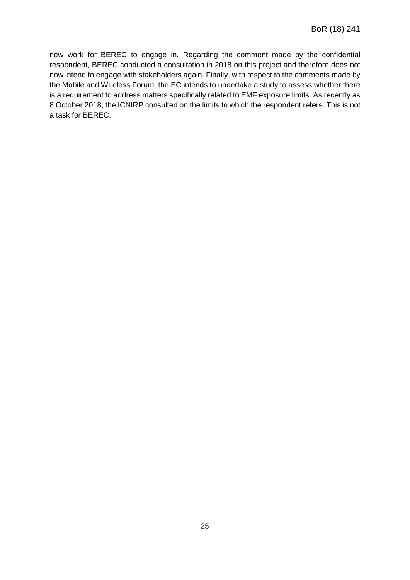new work for BEREC to engage in. Regarding the comment made by the confidential respondent, BEREC conducted a consultation in 2018 on this project and therefore does not now intend to engage with stakeholders again. Finally, with respect to the comments made by the Mobile and Wireless Forum, the EC intends to undertake a study to assess whether there is a requirement to address matters specifically related to EMF exposure limits. As recently as 8 October 2018, the ICNIRP consulted on the limits to which the respondent refers. This is not a task for BEREC.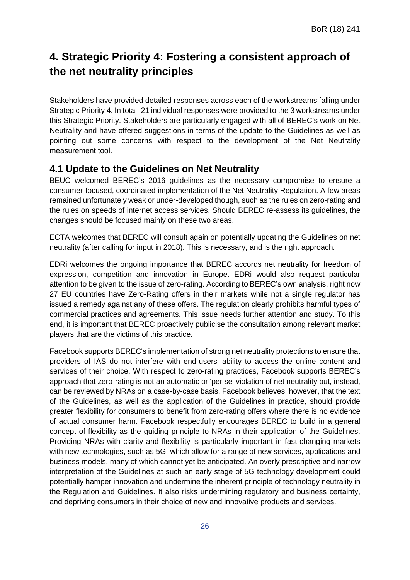## <span id="page-26-0"></span>**4. Strategic Priority 4: Fostering a consistent approach of the net neutrality principles**

Stakeholders have provided detailed responses across each of the workstreams falling under Strategic Priority 4. In total, 21 individual responses were provided to the 3 workstreams under this Strategic Priority. Stakeholders are particularly engaged with all of BEREC's work on Net Neutrality and have offered suggestions in terms of the update to the Guidelines as well as pointing out some concerns with respect to the development of the Net Neutrality measurement tool.

#### <span id="page-26-1"></span>**4.1 Update to the Guidelines on Net Neutrality**

BEUC welcomed BEREC's 2016 guidelines as the necessary compromise to ensure a consumer-focused, coordinated implementation of the Net Neutrality Regulation. A few areas remained unfortunately weak or under-developed though, such as the rules on zero-rating and the rules on speeds of internet access services. Should BEREC re-assess its guidelines, the changes should be focused mainly on these two areas.

ECTA welcomes that BEREC will consult again on potentially updating the Guidelines on net neutrality (after calling for input in 2018). This is necessary, and is the right approach.

EDRi welcomes the ongoing importance that BEREC accords net neutrality for freedom of expression, competition and innovation in Europe. EDRi would also request particular attention to be given to the issue of zero-rating. According to BEREC's own analysis, right now 27 EU countries have Zero-Rating offers in their markets while not a single regulator has issued a remedy against any of these offers. The regulation clearly prohibits harmful types of commercial practices and agreements. This issue needs further attention and study. To this end, it is important that BEREC proactively publicise the consultation among relevant market players that are the victims of this practice.

Facebook supports BEREC's implementation of strong net neutrality protections to ensure that providers of IAS do not interfere with end-users' ability to access the online content and services of their choice. With respect to zero-rating practices, Facebook supports BEREC's approach that zero-rating is not an automatic or 'per se' violation of net neutrality but, instead, can be reviewed by NRAs on a case-by-case basis. Facebook believes, however, that the text of the Guidelines, as well as the application of the Guidelines in practice, should provide greater flexibility for consumers to benefit from zero-rating offers where there is no evidence of actual consumer harm. Facebook respectfully encourages BEREC to build in a general concept of flexibility as the guiding principle to NRAs in their application of the Guidelines. Providing NRAs with clarity and flexibility is particularly important in fast-changing markets with new technologies, such as 5G, which allow for a range of new services, applications and business models, many of which cannot yet be anticipated. An overly prescriptive and narrow interpretation of the Guidelines at such an early stage of 5G technology development could potentially hamper innovation and undermine the inherent principle of technology neutrality in the Regulation and Guidelines. It also risks undermining regulatory and business certainty, and depriving consumers in their choice of new and innovative products and services.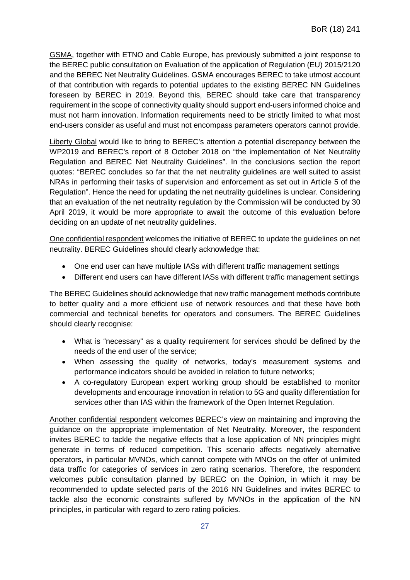GSMA, together with ETNO and Cable Europe, has previously submitted a joint response to the BEREC public consultation on Evaluation of the application of Regulation (EU) 2015/2120 and the BEREC Net Neutrality Guidelines. GSMA encourages BEREC to take utmost account of that contribution with regards to potential updates to the existing BEREC NN Guidelines foreseen by BEREC in 2019. Beyond this, BEREC should take care that transparency requirement in the scope of connectivity quality should support end-users informed choice and must not harm innovation. Information requirements need to be strictly limited to what most end-users consider as useful and must not encompass parameters operators cannot provide.

Liberty Global would like to bring to BEREC's attention a potential discrepancy between the WP2019 and BEREC's report of 8 October 2018 on "the implementation of Net Neutrality Regulation and BEREC Net Neutrality Guidelines". In the conclusions section the report quotes: "BEREC concludes so far that the net neutrality guidelines are well suited to assist NRAs in performing their tasks of supervision and enforcement as set out in Article 5 of the Regulation". Hence the need for updating the net neutrality guidelines is unclear. Considering that an evaluation of the net neutrality regulation by the Commission will be conducted by 30 April 2019, it would be more appropriate to await the outcome of this evaluation before deciding on an update of net neutrality guidelines.

One confidential respondent welcomes the initiative of BEREC to update the guidelines on net neutrality. BEREC Guidelines should clearly acknowledge that:

- One end user can have multiple IASs with different traffic management settings
- Different end users can have different IASs with different traffic management settings

The BEREC Guidelines should acknowledge that new traffic management methods contribute to better quality and a more efficient use of network resources and that these have both commercial and technical benefits for operators and consumers. The BEREC Guidelines should clearly recognise:

- What is "necessary" as a quality requirement for services should be defined by the needs of the end user of the service;
- When assessing the quality of networks, today's measurement systems and performance indicators should be avoided in relation to future networks;
- A co-regulatory European expert working group should be established to monitor developments and encourage innovation in relation to 5G and quality differentiation for services other than IAS within the framework of the Open Internet Regulation.

Another confidential respondent welcomes BEREC's view on maintaining and improving the guidance on the appropriate implementation of Net Neutrality. Moreover, the respondent invites BEREC to tackle the negative effects that a lose application of NN principles might generate in terms of reduced competition. This scenario affects negatively alternative operators, in particular MVNOs, which cannot compete with MNOs on the offer of unlimited data traffic for categories of services in zero rating scenarios. Therefore, the respondent welcomes public consultation planned by BEREC on the Opinion, in which it may be recommended to update selected parts of the 2016 NN Guidelines and invites BEREC to tackle also the economic constraints suffered by MVNOs in the application of the NN principles, in particular with regard to zero rating policies.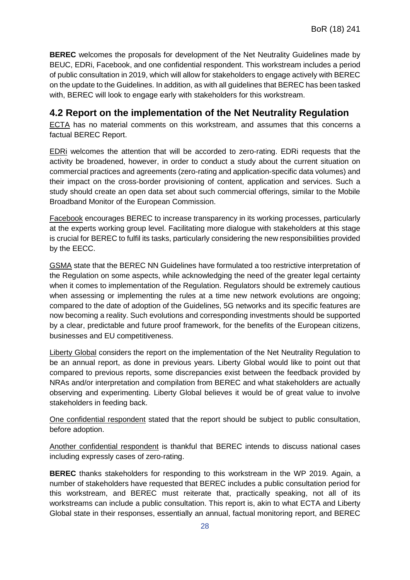**BEREC** welcomes the proposals for development of the Net Neutrality Guidelines made by BEUC, EDRi, Facebook, and one confidential respondent. This workstream includes a period of public consultation in 2019, which will allow for stakeholders to engage actively with BEREC on the update to the Guidelines. In addition, as with all guidelines that BEREC has been tasked with, BEREC will look to engage early with stakeholders for this workstream.

#### <span id="page-28-0"></span>**4.2 Report on the implementation of the Net Neutrality Regulation**

ECTA has no material comments on this workstream, and assumes that this concerns a factual BEREC Report.

EDRi welcomes the attention that will be accorded to zero-rating. EDRi requests that the activity be broadened, however, in order to conduct a study about the current situation on commercial practices and agreements (zero-rating and application-specific data volumes) and their impact on the cross-border provisioning of content, application and services. Such a study should create an open data set about such commercial offerings, similar to the Mobile Broadband Monitor of the European Commission.

Facebook encourages BEREC to increase transparency in its working processes, particularly at the experts working group level. Facilitating more dialogue with stakeholders at this stage is crucial for BEREC to fulfil its tasks, particularly considering the new responsibilities provided by the EECC.

GSMA state that the BEREC NN Guidelines have formulated a too restrictive interpretation of the Regulation on some aspects, while acknowledging the need of the greater legal certainty when it comes to implementation of the Regulation. Regulators should be extremely cautious when assessing or implementing the rules at a time new network evolutions are ongoing; compared to the date of adoption of the Guidelines, 5G networks and its specific features are now becoming a reality. Such evolutions and corresponding investments should be supported by a clear, predictable and future proof framework, for the benefits of the European citizens, businesses and EU competitiveness.

Liberty Global considers the report on the implementation of the Net Neutrality Regulation to be an annual report, as done in previous years. Liberty Global would like to point out that compared to previous reports, some discrepancies exist between the feedback provided by NRAs and/or interpretation and compilation from BEREC and what stakeholders are actually observing and experimenting. Liberty Global believes it would be of great value to involve stakeholders in feeding back.

One confidential respondent stated that the report should be subject to public consultation, before adoption.

Another confidential respondent is thankful that BEREC intends to discuss national cases including expressly cases of zero-rating.

**BEREC** thanks stakeholders for responding to this workstream in the WP 2019. Again, a number of stakeholders have requested that BEREC includes a public consultation period for this workstream, and BEREC must reiterate that, practically speaking, not all of its workstreams can include a public consultation. This report is, akin to what ECTA and Liberty Global state in their responses, essentially an annual, factual monitoring report, and BEREC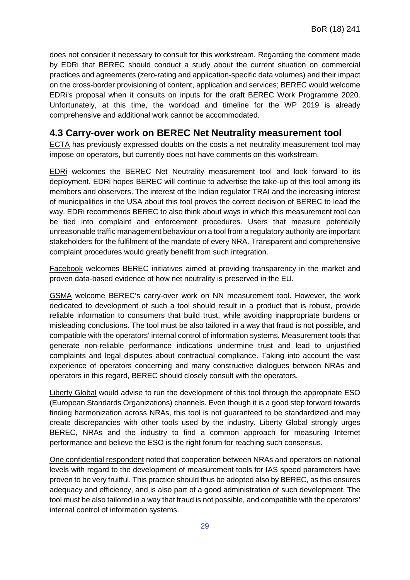does not consider it necessary to consult for this workstream. Regarding the comment made by EDRi that BEREC should conduct a study about the current situation on commercial practices and agreements (zero-rating and application-specific data volumes) and their impact on the cross-border provisioning of content, application and services; BEREC would welcome EDRi's proposal when it consults on inputs for the draft BEREC Work Programme 2020. Unfortunately, at this time, the workload and timeline for the WP 2019 is already comprehensive and additional work cannot be accommodated.

#### <span id="page-29-0"></span>**4.3 Carry-over work on BEREC Net Neutrality measurement tool**

ECTA has previously expressed doubts on the costs a net neutrality measurement tool may impose on operators, but currently does not have comments on this workstream.

EDRi welcomes the BEREC Net Neutrality measurement tool and look forward to its deployment. EDRi hopes BEREC will continue to advertise the take-up of this tool among its members and observers. The interest of the Indian regulator TRAI and the increasing interest of municipalities in the USA about this tool proves the correct decision of BEREC to lead the way. EDRi recommends BEREC to also think about ways in which this measurement tool can be tied into complaint and enforcement procedures. Users that measure potentially unreasonable traffic management behaviour on a tool from a regulatory authority are important stakeholders for the fulfilment of the mandate of every NRA. Transparent and comprehensive complaint procedures would greatly benefit from such integration.

Facebook welcomes BEREC initiatives aimed at providing transparency in the market and proven data-based evidence of how net neutrality is preserved in the EU.

GSMA welcome BEREC's carry-over work on NN measurement tool. However, the work dedicated to development of such a tool should result in a product that is robust, provide reliable information to consumers that build trust, while avoiding inappropriate burdens or misleading conclusions. The tool must be also tailored in a way that fraud is not possible, and compatible with the operators' internal control of information systems. Measurement tools that generate non-reliable performance indications undermine trust and lead to unjustified complaints and legal disputes about contractual compliance. Taking into account the vast experience of operators concerning and many constructive dialogues between NRAs and operators in this regard, BEREC should closely consult with the operators.

Liberty Global would advise to run the development of this tool through the appropriate ESO (European Standards Organizations) channels. Even though it is a good step forward towards finding harmonization across NRAs, this tool is not guaranteed to be standardized and may create discrepancies with other tools used by the industry. Liberty Global strongly urges BEREC, NRAs and the industry to find a common approach for measuring Internet performance and believe the ESO is the right forum for reaching such consensus.

One confidential respondent noted that cooperation between NRAs and operators on national levels with regard to the development of measurement tools for IAS speed parameters have proven to be very fruitful. This practice should thus be adopted also by BEREC, as this ensures adequacy and efficiency, and is also part of a good administration of such development. The tool must be also tailored in a way that fraud is not possible, and compatible with the operators' internal control of information systems.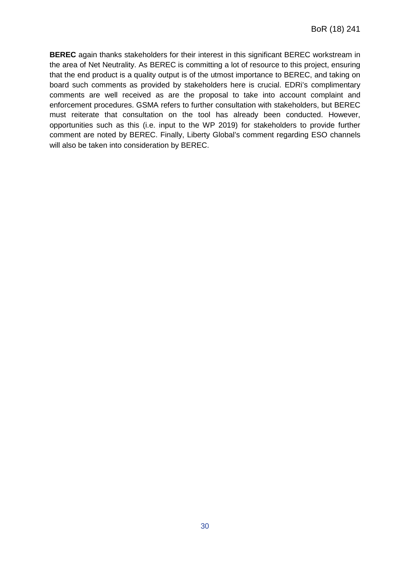**BEREC** again thanks stakeholders for their interest in this significant BEREC workstream in the area of Net Neutrality. As BEREC is committing a lot of resource to this project, ensuring that the end product is a quality output is of the utmost importance to BEREC, and taking on board such comments as provided by stakeholders here is crucial. EDRi's complimentary comments are well received as are the proposal to take into account complaint and enforcement procedures. GSMA refers to further consultation with stakeholders, but BEREC must reiterate that consultation on the tool has already been conducted. However, opportunities such as this (i.e. input to the WP 2019) for stakeholders to provide further comment are noted by BEREC. Finally, Liberty Global's comment regarding ESO channels will also be taken into consideration by BEREC.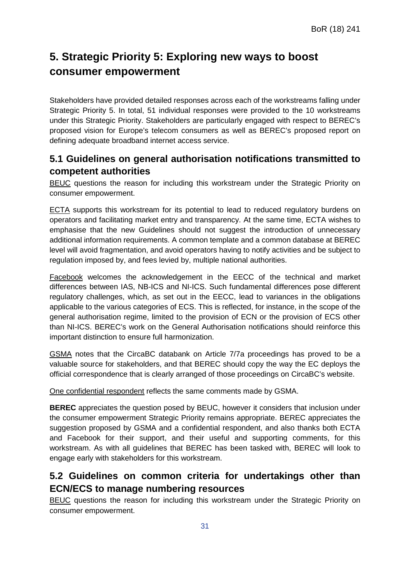## <span id="page-31-0"></span>**5. Strategic Priority 5: Exploring new ways to boost consumer empowerment**

Stakeholders have provided detailed responses across each of the workstreams falling under Strategic Priority 5. In total, 51 individual responses were provided to the 10 workstreams under this Strategic Priority. Stakeholders are particularly engaged with respect to BEREC's proposed vision for Europe's telecom consumers as well as BEREC's proposed report on defining adequate broadband internet access service.

### <span id="page-31-1"></span>**5.1 Guidelines on general authorisation notifications transmitted to competent authorities**

BEUC questions the reason for including this workstream under the Strategic Priority on consumer empowerment.

ECTA supports this workstream for its potential to lead to reduced regulatory burdens on operators and facilitating market entry and transparency. At the same time, ECTA wishes to emphasise that the new Guidelines should not suggest the introduction of unnecessary additional information requirements. A common template and a common database at BEREC level will avoid fragmentation, and avoid operators having to notify activities and be subject to regulation imposed by, and fees levied by, multiple national authorities.

Facebook welcomes the acknowledgement in the EECC of the technical and market differences between IAS, NB-ICS and NI-ICS. Such fundamental differences pose different regulatory challenges, which, as set out in the EECC, lead to variances in the obligations applicable to the various categories of ECS. This is reflected, for instance, in the scope of the general authorisation regime, limited to the provision of ECN or the provision of ECS other than NI-ICS. BEREC's work on the General Authorisation notifications should reinforce this important distinction to ensure full harmonization.

GSMA notes that the CircaBC databank on Article 7/7a proceedings has proved to be a valuable source for stakeholders, and that BEREC should copy the way the EC deploys the official correspondence that is clearly arranged of those proceedings on CircaBC's website.

One confidential respondent reflects the same comments made by GSMA.

**BEREC** appreciates the question posed by BEUC, however it considers that inclusion under the consumer empowerment Strategic Priority remains appropriate. BEREC appreciates the suggestion proposed by GSMA and a confidential respondent, and also thanks both ECTA and Facebook for their support, and their useful and supporting comments, for this workstream. As with all guidelines that BEREC has been tasked with, BEREC will look to engage early with stakeholders for this workstream.

## <span id="page-31-2"></span>**5.2 Guidelines on common criteria for undertakings other than ECN/ECS to manage numbering resources**

BEUC questions the reason for including this workstream under the Strategic Priority on consumer empowerment.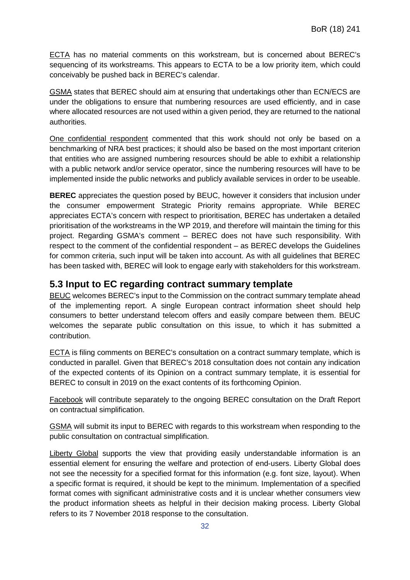ECTA has no material comments on this workstream, but is concerned about BEREC's sequencing of its workstreams. This appears to ECTA to be a low priority item, which could conceivably be pushed back in BEREC's calendar.

GSMA states that BEREC should aim at ensuring that undertakings other than ECN/ECS are under the obligations to ensure that numbering resources are used efficiently, and in case where allocated resources are not used within a given period, they are returned to the national authorities.

One confidential respondent commented that this work should not only be based on a benchmarking of NRA best practices; it should also be based on the most important criterion that entities who are assigned numbering resources should be able to exhibit a relationship with a public network and/or service operator, since the numbering resources will have to be implemented inside the public networks and publicly available services in order to be useable.

**BEREC** appreciates the question posed by BEUC, however it considers that inclusion under the consumer empowerment Strategic Priority remains appropriate. While BEREC appreciates ECTA's concern with respect to prioritisation, BEREC has undertaken a detailed prioritisation of the workstreams in the WP 2019, and therefore will maintain the timing for this project. Regarding GSMA's comment – BEREC does not have such responsibility. With respect to the comment of the confidential respondent – as BEREC develops the Guidelines for common criteria, such input will be taken into account. As with all guidelines that BEREC has been tasked with, BEREC will look to engage early with stakeholders for this workstream.

#### <span id="page-32-0"></span>**5.3 Input to EC regarding contract summary template**

BEUC welcomes BEREC's input to the Commission on the contract summary template ahead of the implementing report. A single European contract information sheet should help consumers to better understand telecom offers and easily compare between them. BEUC welcomes the separate public consultation on this issue, to which it has submitted a contribution.

ECTA is filing comments on BEREC's consultation on a contract summary template, which is conducted in parallel. Given that BEREC's 2018 consultation does not contain any indication of the expected contents of its Opinion on a contract summary template, it is essential for BEREC to consult in 2019 on the exact contents of its forthcoming Opinion.

Facebook will contribute separately to the ongoing BEREC consultation on the Draft Report on contractual simplification.

GSMA will submit its input to BEREC with regards to this workstream when responding to the public consultation on contractual simplification.

Liberty Global supports the view that providing easily understandable information is an essential element for ensuring the welfare and protection of end-users. Liberty Global does not see the necessity for a specified format for this information (e.g. font size, layout). When a specific format is required, it should be kept to the minimum. Implementation of a specified format comes with significant administrative costs and it is unclear whether consumers view the product information sheets as helpful in their decision making process. Liberty Global refers to its 7 November 2018 response to the consultation.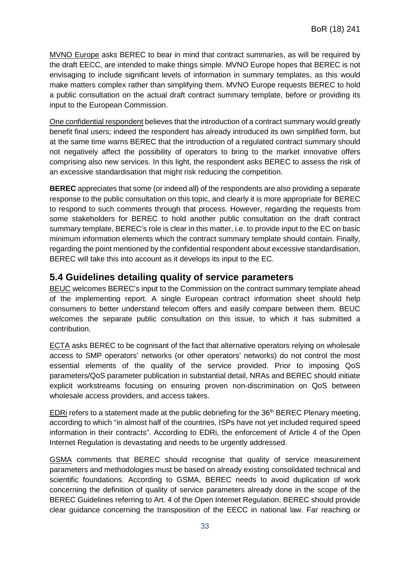MVNO Europe asks BEREC to bear in mind that contract summaries, as will be required by the draft EECC, are intended to make things simple. MVNO Europe hopes that BEREC is not envisaging to include significant levels of information in summary templates, as this would make matters complex rather than simplifying them. MVNO Europe requests BEREC to hold a public consultation on the actual draft contract summary template, before or providing its input to the European Commission.

One confidential respondent believes that the introduction of a contract summary would greatly benefit final users; indeed the respondent has already introduced its own simplified form, but at the same time warns BEREC that the introduction of a regulated contract summary should not negatively affect the possibility of operators to bring to the market innovative offers comprising also new services. In this light, the respondent asks BEREC to assess the risk of an excessive standardisation that might risk reducing the competition.

**BEREC** appreciates that some (or indeed all) of the respondents are also providing a separate response to the public consultation on this topic, and clearly it is more appropriate for BEREC to respond to such comments through that process. However, regarding the requests from some stakeholders for BEREC to hold another public consultation on the draft contract summary template, BEREC's role is clear in this matter, i.e. to provide input to the EC on basic minimum information elements which the contract summary template should contain. Finally, regarding the point mentioned by the confidential respondent about excessive standardisation, BEREC will take this into account as it develops its input to the EC.

#### <span id="page-33-0"></span>**5.4 Guidelines detailing quality of service parameters**

BEUC welcomes BEREC's input to the Commission on the contract summary template ahead of the implementing report. A single European contract information sheet should help consumers to better understand telecom offers and easily compare between them. BEUC welcomes the separate public consultation on this issue, to which it has submitted a contribution.

ECTA asks BEREC to be cognisant of the fact that alternative operators relying on wholesale access to SMP operators' networks (or other operators' networks) do not control the most essential elements of the quality of the service provided. Prior to imposing QoS parameters/QoS parameter publication in substantial detail, NRAs and BEREC should initiate explicit workstreams focusing on ensuring proven non-discrimination on QoS between wholesale access providers, and access takers.

EDRi refers to a statement made at the public debriefing for the 36<sup>th</sup> BEREC Plenary meeting, according to which "in almost half of the countries, ISPs have not yet included required speed information in their contracts". According to EDRi, the enforcement of Article 4 of the Open Internet Regulation is devastating and needs to be urgently addressed.

GSMA comments that BEREC should recognise that quality of service measurement parameters and methodologies must be based on already existing consolidated technical and scientific foundations. According to GSMA, BEREC needs to avoid duplication of work concerning the definition of quality of service parameters already done in the scope of the BEREC Guidelines referring to Art. 4 of the Open Internet Regulation. BEREC should provide clear guidance concerning the transposition of the EECC in national law. Far reaching or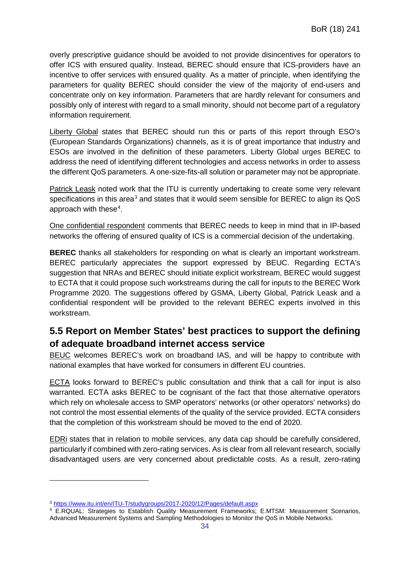overly prescriptive guidance should be avoided to not provide disincentives for operators to offer ICS with ensured quality. Instead, BEREC should ensure that ICS-providers have an incentive to offer services with ensured quality. As a matter of principle, when identifying the parameters for quality BEREC should consider the view of the majority of end-users and concentrate only on key information. Parameters that are hardly relevant for consumers and possibly only of interest with regard to a small minority, should not become part of a regulatory information requirement.

Liberty Global states that BEREC should run this or parts of this report through ESO's (European Standards Organizations) channels, as it is of great importance that industry and ESOs are involved in the definition of these parameters. Liberty Global urges BEREC to address the need of identifying different technologies and access networks in order to assess the different QoS parameters. A one-size-fits-all solution or parameter may not be appropriate.

Patrick Leask noted work that the ITU is currently undertaking to create some very relevant specifications in this area<sup>3</sup> and states that it would seem sensible for BEREC to align its QoS approach with these $4$ .

One confidential respondent comments that BEREC needs to keep in mind that in IP-based networks the offering of ensured quality of ICS is a commercial decision of the undertaking.

**BEREC** thanks all stakeholders for responding on what is clearly an important workstream. BEREC particularly appreciates the support expressed by BEUC. Regarding ECTA's suggestion that NRAs and BEREC should initiate explicit workstream, BEREC would suggest to ECTA that it could propose such workstreams during the call for inputs to the BEREC Work Programme 2020. The suggestions offered by GSMA, Liberty Global, Patrick Leask and a confidential respondent will be provided to the relevant BEREC experts involved in this workstream.

## <span id="page-34-0"></span>**5.5 Report on Member States' best practices to support the defining of adequate broadband internet access service**

BEUC welcomes BEREC's work on broadband IAS, and will be happy to contribute with national examples that have worked for consumers in different EU countries.

ECTA looks forward to BEREC's public consultation and think that a call for input is also warranted. ECTA asks BEREC to be cognisant of the fact that those alternative operators which rely on wholesale access to SMP operators' networks (or other operators' networks) do not control the most essential elements of the quality of the service provided. ECTA considers that the completion of this workstream should be moved to the end of 2020.

EDRi states that in relation to mobile services, any data cap should be carefully considered, particularly if combined with zero-rating services. As is clear from all relevant research, socially disadvantaged users are very concerned about predictable costs. As a result, zero-rating

-

<span id="page-34-1"></span><sup>3</sup> <https://www.itu.int/en/ITU-T/studygroups/2017-2020/12/Pages/default.aspx>

<span id="page-34-2"></span><sup>&</sup>lt;sup>4</sup> E.RQUAL: Strategies to Establish Quality Measurement Frameworks; E.MTSM: Measurement Scenarios, Advanced Measurement Systems and Sampling Methodologies to Monitor the QoS in Mobile Networks.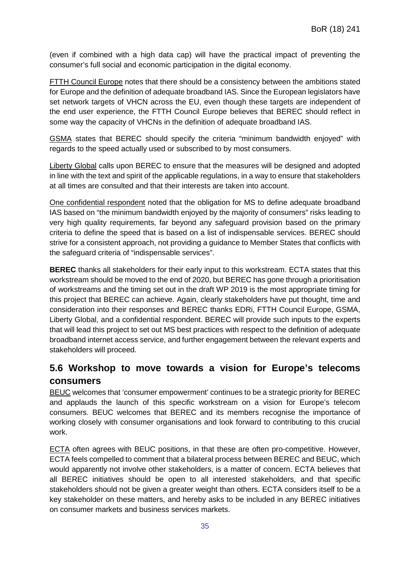(even if combined with a high data cap) will have the practical impact of preventing the consumer's full social and economic participation in the digital economy.

FTTH Council Europe notes that there should be a consistency between the ambitions stated for Europe and the definition of adequate broadband IAS. Since the European legislators have set network targets of VHCN across the EU, even though these targets are independent of the end user experience, the FTTH Council Europe believes that BEREC should reflect in some way the capacity of VHCNs in the definition of adequate broadband IAS.

GSMA states that BEREC should specify the criteria "minimum bandwidth enjoyed" with regards to the speed actually used or subscribed to by most consumers.

Liberty Global calls upon BEREC to ensure that the measures will be designed and adopted in line with the text and spirit of the applicable regulations, in a way to ensure that stakeholders at all times are consulted and that their interests are taken into account.

One confidential respondent noted that the obligation for MS to define adequate broadband IAS based on "the minimum bandwidth enjoyed by the majority of consumers" risks leading to very high quality requirements, far beyond any safeguard provision based on the primary criteria to define the speed that is based on a list of indispensable services. BEREC should strive for a consistent approach, not providing a guidance to Member States that conflicts with the safeguard criteria of "indispensable services".

**BEREC** thanks all stakeholders for their early input to this workstream. ECTA states that this workstream should be moved to the end of 2020, but BEREC has gone through a prioritisation of workstreams and the timing set out in the draft WP 2019 is the most appropriate timing for this project that BEREC can achieve. Again, clearly stakeholders have put thought, time and consideration into their responses and BEREC thanks EDRi, FTTH Council Europe, GSMA, Liberty Global, and a confidential respondent. BEREC will provide such inputs to the experts that will lead this project to set out MS best practices with respect to the definition of adequate broadband internet access service, and further engagement between the relevant experts and stakeholders will proceed.

## <span id="page-35-0"></span>**5.6 Workshop to move towards a vision for Europe's telecoms consumers**

BEUC welcomes that 'consumer empowerment' continues to be a strategic priority for BEREC and applauds the launch of this specific workstream on a vision for Europe's telecom consumers. BEUC welcomes that BEREC and its members recognise the importance of working closely with consumer organisations and look forward to contributing to this crucial work.

ECTA often agrees with BEUC positions, in that these are often pro-competitive. However, ECTA feels compelled to comment that a bilateral process between BEREC and BEUC, which would apparently not involve other stakeholders, is a matter of concern. ECTA believes that all BEREC initiatives should be open to all interested stakeholders, and that specific stakeholders should not be given a greater weight than others. ECTA considers itself to be a key stakeholder on these matters, and hereby asks to be included in any BEREC initiatives on consumer markets and business services markets.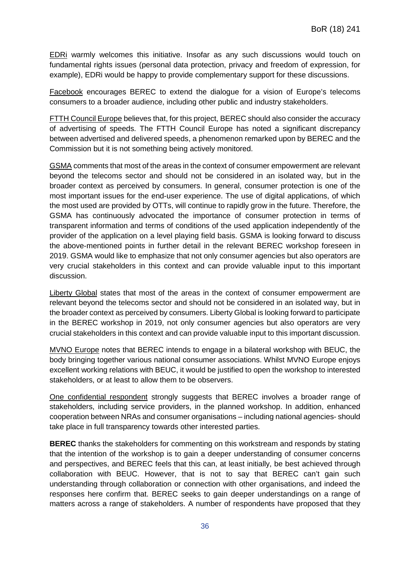EDRi warmly welcomes this initiative. Insofar as any such discussions would touch on fundamental rights issues (personal data protection, privacy and freedom of expression, for example), EDRi would be happy to provide complementary support for these discussions.

Facebook encourages BEREC to extend the dialogue for a vision of Europe's telecoms consumers to a broader audience, including other public and industry stakeholders.

FTTH Council Europe believes that, for this project, BEREC should also consider the accuracy of advertising of speeds. The FTTH Council Europe has noted a significant discrepancy between advertised and delivered speeds, a phenomenon remarked upon by BEREC and the Commission but it is not something being actively monitored.

GSMA comments that most of the areas in the context of consumer empowerment are relevant beyond the telecoms sector and should not be considered in an isolated way, but in the broader context as perceived by consumers. In general, consumer protection is one of the most important issues for the end-user experience. The use of digital applications, of which the most used are provided by OTTs, will continue to rapidly grow in the future. Therefore, the GSMA has continuously advocated the importance of consumer protection in terms of transparent information and terms of conditions of the used application independently of the provider of the application on a level playing field basis. GSMA is looking forward to discuss the above-mentioned points in further detail in the relevant BEREC workshop foreseen in 2019. GSMA would like to emphasize that not only consumer agencies but also operators are very crucial stakeholders in this context and can provide valuable input to this important discussion.

Liberty Global states that most of the areas in the context of consumer empowerment are relevant beyond the telecoms sector and should not be considered in an isolated way, but in the broader context as perceived by consumers. Liberty Global is looking forward to participate in the BEREC workshop in 2019, not only consumer agencies but also operators are very crucial stakeholders in this context and can provide valuable input to this important discussion.

MVNO Europe notes that BEREC intends to engage in a bilateral workshop with BEUC, the body bringing together various national consumer associations. Whilst MVNO Europe enjoys excellent working relations with BEUC, it would be justified to open the workshop to interested stakeholders, or at least to allow them to be observers.

One confidential respondent strongly suggests that BEREC involves a broader range of stakeholders, including service providers, in the planned workshop. In addition, enhanced cooperation between NRAs and consumer organisations – including national agencies- should take place in full transparency towards other interested parties.

**BEREC** thanks the stakeholders for commenting on this workstream and responds by stating that the intention of the workshop is to gain a deeper understanding of consumer concerns and perspectives, and BEREC feels that this can, at least initially, be best achieved through collaboration with BEUC. However, that is not to say that BEREC can't gain such understanding through collaboration or connection with other organisations, and indeed the responses here confirm that. BEREC seeks to gain deeper understandings on a range of matters across a range of stakeholders. A number of respondents have proposed that they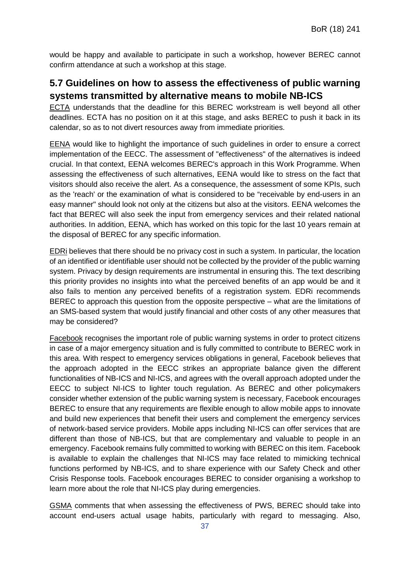would be happy and available to participate in such a workshop, however BEREC cannot confirm attendance at such a workshop at this stage.

## <span id="page-37-0"></span>**5.7 Guidelines on how to assess the effectiveness of public warning systems transmitted by alternative means to mobile NB-ICS**

ECTA understands that the deadline for this BEREC workstream is well beyond all other deadlines. ECTA has no position on it at this stage, and asks BEREC to push it back in its calendar, so as to not divert resources away from immediate priorities.

EENA would like to highlight the importance of such guidelines in order to ensure a correct implementation of the EECC. The assessment of "effectiveness" of the alternatives is indeed crucial. In that context, EENA welcomes BEREC's approach in this Work Programme. When assessing the effectiveness of such alternatives, EENA would like to stress on the fact that visitors should also receive the alert. As a consequence, the assessment of some KPIs, such as the 'reach' or the examination of what is considered to be "receivable by end-users in an easy manner" should look not only at the citizens but also at the visitors. EENA welcomes the fact that BEREC will also seek the input from emergency services and their related national authorities. In addition, EENA, which has worked on this topic for the last 10 years remain at the disposal of BEREC for any specific information.

EDRi believes that there should be no privacy cost in such a system. In particular, the location of an identified or identifiable user should not be collected by the provider of the public warning system. Privacy by design requirements are instrumental in ensuring this. The text describing this priority provides no insights into what the perceived benefits of an app would be and it also fails to mention any perceived benefits of a registration system. EDRi recommends BEREC to approach this question from the opposite perspective – what are the limitations of an SMS-based system that would justify financial and other costs of any other measures that may be considered?

Facebook recognises the important role of public warning systems in order to protect citizens in case of a major emergency situation and is fully committed to contribute to BEREC work in this area. With respect to emergency services obligations in general, Facebook believes that the approach adopted in the EECC strikes an appropriate balance given the different functionalities of NB-ICS and NI-ICS, and agrees with the overall approach adopted under the EECC to subject NI-ICS to lighter touch regulation. As BEREC and other policymakers consider whether extension of the public warning system is necessary, Facebook encourages BEREC to ensure that any requirements are flexible enough to allow mobile apps to innovate and build new experiences that benefit their users and complement the emergency services of network-based service providers. Mobile apps including NI-ICS can offer services that are different than those of NB-ICS, but that are complementary and valuable to people in an emergency. Facebook remains fully committed to working with BEREC on this item. Facebook is available to explain the challenges that NI-ICS may face related to mimicking technical functions performed by NB-ICS, and to share experience with our Safety Check and other Crisis Response tools. Facebook encourages BEREC to consider organising a workshop to learn more about the role that NI-ICS play during emergencies.

GSMA comments that when assessing the effectiveness of PWS, BEREC should take into account end-users actual usage habits, particularly with regard to messaging. Also,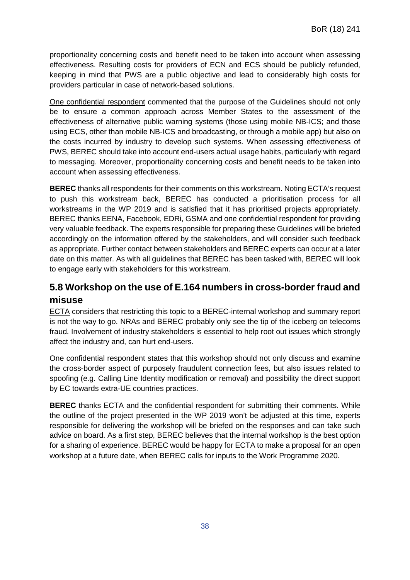proportionality concerning costs and benefit need to be taken into account when assessing effectiveness. Resulting costs for providers of ECN and ECS should be publicly refunded, keeping in mind that PWS are a public objective and lead to considerably high costs for providers particular in case of network-based solutions.

One confidential respondent commented that the purpose of the Guidelines should not only be to ensure a common approach across Member States to the assessment of the effectiveness of alternative public warning systems (those using mobile NB-ICS; and those using ECS, other than mobile NB-ICS and broadcasting, or through a mobile app) but also on the costs incurred by industry to develop such systems. When assessing effectiveness of PWS, BEREC should take into account end-users actual usage habits, particularly with regard to messaging. Moreover, proportionality concerning costs and benefit needs to be taken into account when assessing effectiveness.

**BEREC** thanks all respondents for their comments on this workstream. Noting ECTA's request to push this workstream back, BEREC has conducted a prioritisation process for all workstreams in the WP 2019 and is satisfied that it has prioritised projects appropriately. BEREC thanks EENA, Facebook, EDRi, GSMA and one confidential respondent for providing very valuable feedback. The experts responsible for preparing these Guidelines will be briefed accordingly on the information offered by the stakeholders, and will consider such feedback as appropriate. Further contact between stakeholders and BEREC experts can occur at a later date on this matter. As with all guidelines that BEREC has been tasked with, BEREC will look to engage early with stakeholders for this workstream.

## <span id="page-38-0"></span>**5.8 Workshop on the use of E.164 numbers in cross-border fraud and misuse**

ECTA considers that restricting this topic to a BEREC-internal workshop and summary report is not the way to go. NRAs and BEREC probably only see the tip of the iceberg on telecoms fraud. Involvement of industry stakeholders is essential to help root out issues which strongly affect the industry and, can hurt end-users.

One confidential respondent states that this workshop should not only discuss and examine the cross-border aspect of purposely fraudulent connection fees, but also issues related to spoofing (e.g. Calling Line Identity modification or removal) and possibility the direct support by EC towards extra-UE countries practices.

**BEREC** thanks ECTA and the confidential respondent for submitting their comments. While the outline of the project presented in the WP 2019 won't be adjusted at this time, experts responsible for delivering the workshop will be briefed on the responses and can take such advice on board. As a first step, BEREC believes that the internal workshop is the best option for a sharing of experience. BEREC would be happy for ECTA to make a proposal for an open workshop at a future date, when BEREC calls for inputs to the Work Programme 2020.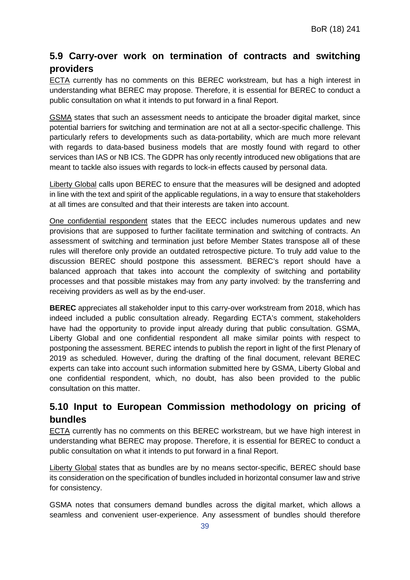## <span id="page-39-0"></span>**5.9 Carry-over work on termination of contracts and switching providers**

ECTA currently has no comments on this BEREC workstream, but has a high interest in understanding what BEREC may propose. Therefore, it is essential for BEREC to conduct a public consultation on what it intends to put forward in a final Report.

GSMA states that such an assessment needs to anticipate the broader digital market, since potential barriers for switching and termination are not at all a sector-specific challenge. This particularly refers to developments such as data-portability, which are much more relevant with regards to data-based business models that are mostly found with regard to other services than IAS or NB ICS. The GDPR has only recently introduced new obligations that are meant to tackle also issues with regards to lock-in effects caused by personal data.

Liberty Global calls upon BEREC to ensure that the measures will be designed and adopted in line with the text and spirit of the applicable regulations, in a way to ensure that stakeholders at all times are consulted and that their interests are taken into account.

One confidential respondent states that the EECC includes numerous updates and new provisions that are supposed to further facilitate termination and switching of contracts. An assessment of switching and termination just before Member States transpose all of these rules will therefore only provide an outdated retrospective picture. To truly add value to the discussion BEREC should postpone this assessment. BEREC's report should have a balanced approach that takes into account the complexity of switching and portability processes and that possible mistakes may from any party involved: by the transferring and receiving providers as well as by the end-user.

**BEREC** appreciates all stakeholder input to this carry-over workstream from 2018, which has indeed included a public consultation already. Regarding ECTA's comment, stakeholders have had the opportunity to provide input already during that public consultation. GSMA, Liberty Global and one confidential respondent all make similar points with respect to postponing the assessment. BEREC intends to publish the report in light of the first Plenary of 2019 as scheduled. However, during the drafting of the final document, relevant BEREC experts can take into account such information submitted here by GSMA, Liberty Global and one confidential respondent, which, no doubt, has also been provided to the public consultation on this matter.

## <span id="page-39-1"></span>**5.10 Input to European Commission methodology on pricing of bundles**

ECTA currently has no comments on this BEREC workstream, but we have high interest in understanding what BEREC may propose. Therefore, it is essential for BEREC to conduct a public consultation on what it intends to put forward in a final Report.

Liberty Global states that as bundles are by no means sector-specific, BEREC should base its consideration on the specification of bundles included in horizontal consumer law and strive for consistency.

GSMA notes that consumers demand bundles across the digital market, which allows a seamless and convenient user-experience. Any assessment of bundles should therefore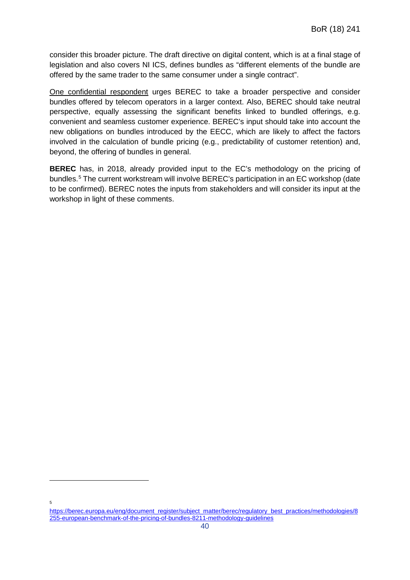consider this broader picture. The draft directive on digital content, which is at a final stage of legislation and also covers NI ICS, defines bundles as "different elements of the bundle are offered by the same trader to the same consumer under a single contract".

One confidential respondent urges BEREC to take a broader perspective and consider bundles offered by telecom operators in a larger context. Also, BEREC should take neutral perspective, equally assessing the significant benefits linked to bundled offerings, e.g. convenient and seamless customer experience. BEREC's input should take into account the new obligations on bundles introduced by the EECC, which are likely to affect the factors involved in the calculation of bundle pricing (e.g., predictability of customer retention) and, beyond, the offering of bundles in general.

**BEREC** has, in 2018, already provided input to the EC's methodology on the pricing of bundles.<sup>[5](#page-40-0)</sup> The current workstream will involve BEREC's participation in an EC workshop (date to be confirmed). BEREC notes the inputs from stakeholders and will consider its input at the workshop in light of these comments.

-

5

<span id="page-40-0"></span>[https://berec.europa.eu/eng/document\\_register/subject\\_matter/berec/regulatory\\_best\\_practices/methodologies/8](https://berec.europa.eu/eng/document_register/subject_matter/berec/regulatory_best_practices/methodologies/8255-european-benchmark-of-the-pricing-of-bundles-8211-methodology-guidelines) [255-european-benchmark-of-the-pricing-of-bundles-8211-methodology-guidelines](https://berec.europa.eu/eng/document_register/subject_matter/berec/regulatory_best_practices/methodologies/8255-european-benchmark-of-the-pricing-of-bundles-8211-methodology-guidelines)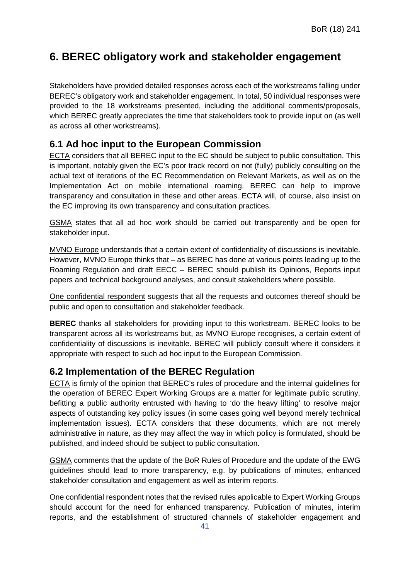## <span id="page-41-0"></span>**6. BEREC obligatory work and stakeholder engagement**

Stakeholders have provided detailed responses across each of the workstreams falling under BEREC's obligatory work and stakeholder engagement. In total, 50 individual responses were provided to the 18 workstreams presented, including the additional comments/proposals, which BEREC greatly appreciates the time that stakeholders took to provide input on (as well as across all other workstreams).

### <span id="page-41-1"></span>**6.1 Ad hoc input to the European Commission**

ECTA considers that all BEREC input to the EC should be subject to public consultation. This is important, notably given the EC's poor track record on not (fully) publicly consulting on the actual text of iterations of the EC Recommendation on Relevant Markets, as well as on the Implementation Act on mobile international roaming. BEREC can help to improve transparency and consultation in these and other areas. ECTA will, of course, also insist on the EC improving its own transparency and consultation practices.

GSMA states that all ad hoc work should be carried out transparently and be open for stakeholder input.

MVNO Europe understands that a certain extent of confidentiality of discussions is inevitable. However, MVNO Europe thinks that – as BEREC has done at various points leading up to the Roaming Regulation and draft EECC – BEREC should publish its Opinions, Reports input papers and technical background analyses, and consult stakeholders where possible.

One confidential respondent suggests that all the requests and outcomes thereof should be public and open to consultation and stakeholder feedback.

**BEREC** thanks all stakeholders for providing input to this workstream. BEREC looks to be transparent across all its workstreams but, as MVNO Europe recognises, a certain extent of confidentiality of discussions is inevitable. BEREC will publicly consult where it considers it appropriate with respect to such ad hoc input to the European Commission.

#### <span id="page-41-2"></span>**6.2 Implementation of the BEREC Regulation**

ECTA is firmly of the opinion that BEREC's rules of procedure and the internal guidelines for the operation of BEREC Expert Working Groups are a matter for legitimate public scrutiny, befitting a public authority entrusted with having to 'do the heavy lifting' to resolve major aspects of outstanding key policy issues (in some cases going well beyond merely technical implementation issues). ECTA considers that these documents, which are not merely administrative in nature, as they may affect the way in which policy is formulated, should be published, and indeed should be subject to public consultation.

GSMA comments that the update of the BoR Rules of Procedure and the update of the EWG guidelines should lead to more transparency, e.g. by publications of minutes, enhanced stakeholder consultation and engagement as well as interim reports.

One confidential respondent notes that the revised rules applicable to Expert Working Groups should account for the need for enhanced transparency. Publication of minutes, interim reports, and the establishment of structured channels of stakeholder engagement and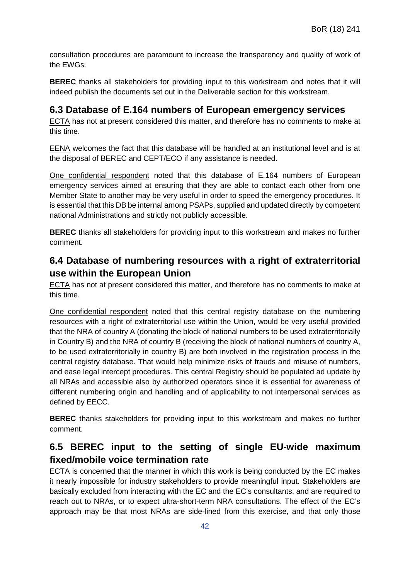consultation procedures are paramount to increase the transparency and quality of work of the EWGs.

**BEREC** thanks all stakeholders for providing input to this workstream and notes that it will indeed publish the documents set out in the Deliverable section for this workstream.

#### <span id="page-42-0"></span>**6.3 Database of E.164 numbers of European emergency services**

ECTA has not at present considered this matter, and therefore has no comments to make at this time.

EENA welcomes the fact that this database will be handled at an institutional level and is at the disposal of BEREC and CEPT/ECO if any assistance is needed.

One confidential respondent noted that this database of E.164 numbers of European emergency services aimed at ensuring that they are able to contact each other from one Member State to another may be very useful in order to speed the emergency procedures. It is essential that this DB be internal among PSAPs, supplied and updated directly by competent national Administrations and strictly not publicly accessible.

**BEREC** thanks all stakeholders for providing input to this workstream and makes no further comment.

## <span id="page-42-1"></span>**6.4 Database of numbering resources with a right of extraterritorial use within the European Union**

ECTA has not at present considered this matter, and therefore has no comments to make at this time.

One confidential respondent noted that this central registry database on the numbering resources with a right of extraterritorial use within the Union, would be very useful provided that the NRA of country A (donating the block of national numbers to be used extraterritorially in Country B) and the NRA of country B (receiving the block of national numbers of country A, to be used extraterritorially in country B) are both involved in the registration process in the central registry database. That would help minimize risks of frauds and misuse of numbers, and ease legal intercept procedures. This central Registry should be populated ad update by all NRAs and accessible also by authorized operators since it is essential for awareness of different numbering origin and handling and of applicability to not interpersonal services as defined by EECC.

**BEREC** thanks stakeholders for providing input to this workstream and makes no further comment.

## <span id="page-42-2"></span>**6.5 BEREC input to the setting of single EU-wide maximum fixed/mobile voice termination rate**

ECTA is concerned that the manner in which this work is being conducted by the EC makes it nearly impossible for industry stakeholders to provide meaningful input. Stakeholders are basically excluded from interacting with the EC and the EC's consultants, and are required to reach out to NRAs, or to expect ultra-short-term NRA consultations. The effect of the EC's approach may be that most NRAs are side-lined from this exercise, and that only those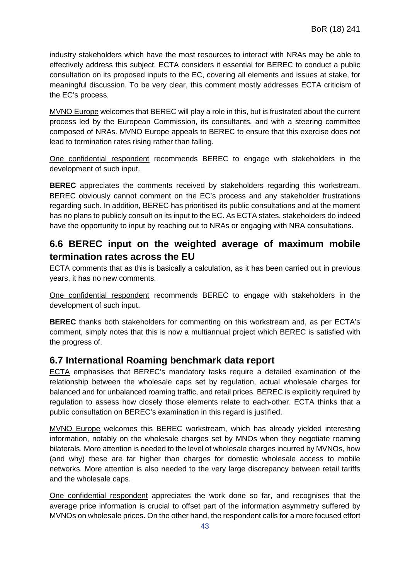industry stakeholders which have the most resources to interact with NRAs may be able to effectively address this subject. ECTA considers it essential for BEREC to conduct a public consultation on its proposed inputs to the EC, covering all elements and issues at stake, for meaningful discussion. To be very clear, this comment mostly addresses ECTA criticism of the EC's process.

MVNO Europe welcomes that BEREC will play a role in this, but is frustrated about the current process led by the European Commission, its consultants, and with a steering committee composed of NRAs. MVNO Europe appeals to BEREC to ensure that this exercise does not lead to termination rates rising rather than falling.

One confidential respondent recommends BEREC to engage with stakeholders in the development of such input.

**BEREC** appreciates the comments received by stakeholders regarding this workstream. BEREC obviously cannot comment on the EC's process and any stakeholder frustrations regarding such. In addition, BEREC has prioritised its public consultations and at the moment has no plans to publicly consult on its input to the EC. As ECTA states, stakeholders do indeed have the opportunity to input by reaching out to NRAs or engaging with NRA consultations.

### <span id="page-43-0"></span>**6.6 BEREC input on the weighted average of maximum mobile termination rates across the EU**

ECTA comments that as this is basically a calculation, as it has been carried out in previous years, it has no new comments.

One confidential respondent recommends BEREC to engage with stakeholders in the development of such input.

**BEREC** thanks both stakeholders for commenting on this workstream and, as per ECTA's comment, simply notes that this is now a multiannual project which BEREC is satisfied with the progress of.

#### <span id="page-43-1"></span>**6.7 International Roaming benchmark data report**

ECTA emphasises that BEREC's mandatory tasks require a detailed examination of the relationship between the wholesale caps set by regulation, actual wholesale charges for balanced and for unbalanced roaming traffic, and retail prices. BEREC is explicitly required by regulation to assess how closely those elements relate to each-other. ECTA thinks that a public consultation on BEREC's examination in this regard is justified.

MVNO Europe welcomes this BEREC workstream, which has already yielded interesting information, notably on the wholesale charges set by MNOs when they negotiate roaming bilaterals. More attention is needed to the level of wholesale charges incurred by MVNOs, how (and why) these are far higher than charges for domestic wholesale access to mobile networks. More attention is also needed to the very large discrepancy between retail tariffs and the wholesale caps.

One confidential respondent appreciates the work done so far, and recognises that the average price information is crucial to offset part of the information asymmetry suffered by MVNOs on wholesale prices. On the other hand, the respondent calls for a more focused effort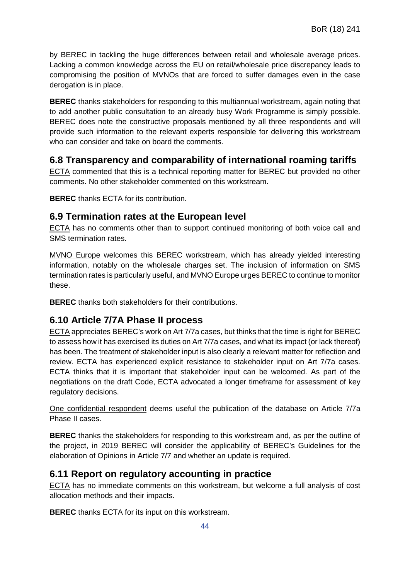by BEREC in tackling the huge differences between retail and wholesale average prices. Lacking a common knowledge across the EU on retail/wholesale price discrepancy leads to compromising the position of MVNOs that are forced to suffer damages even in the case derogation is in place.

**BEREC** thanks stakeholders for responding to this multiannual workstream, again noting that to add another public consultation to an already busy Work Programme is simply possible. BEREC does note the constructive proposals mentioned by all three respondents and will provide such information to the relevant experts responsible for delivering this workstream who can consider and take on board the comments.

### <span id="page-44-0"></span>**6.8 Transparency and comparability of international roaming tariffs**

ECTA commented that this is a technical reporting matter for BEREC but provided no other comments. No other stakeholder commented on this workstream.

**BEREC** thanks ECTA for its contribution.

#### <span id="page-44-1"></span>**6.9 Termination rates at the European level**

ECTA has no comments other than to support continued monitoring of both voice call and SMS termination rates.

MVNO Europe welcomes this BEREC workstream, which has already yielded interesting information, notably on the wholesale charges set. The inclusion of information on SMS termination rates is particularly useful, and MVNO Europe urges BEREC to continue to monitor these.

**BEREC** thanks both stakeholders for their contributions.

## <span id="page-44-2"></span>**6.10 Article 7/7A Phase II process**

ECTA appreciates BEREC's work on Art 7/7a cases, but thinks that the time is right for BEREC to assess how it has exercised its duties on Art 7/7a cases, and what its impact (or lack thereof) has been. The treatment of stakeholder input is also clearly a relevant matter for reflection and review. ECTA has experienced explicit resistance to stakeholder input on Art 7/7a cases. ECTA thinks that it is important that stakeholder input can be welcomed. As part of the negotiations on the draft Code, ECTA advocated a longer timeframe for assessment of key regulatory decisions.

One confidential respondent deems useful the publication of the database on Article 7/7a Phase II cases.

**BEREC** thanks the stakeholders for responding to this workstream and, as per the outline of the project, in 2019 BEREC will consider the applicability of BEREC's Guidelines for the elaboration of Opinions in Article 7/7 and whether an update is required.

#### <span id="page-44-3"></span>**6.11 Report on regulatory accounting in practice**

ECTA has no immediate comments on this workstream, but welcome a full analysis of cost allocation methods and their impacts.

**BEREC** thanks ECTA for its input on this workstream.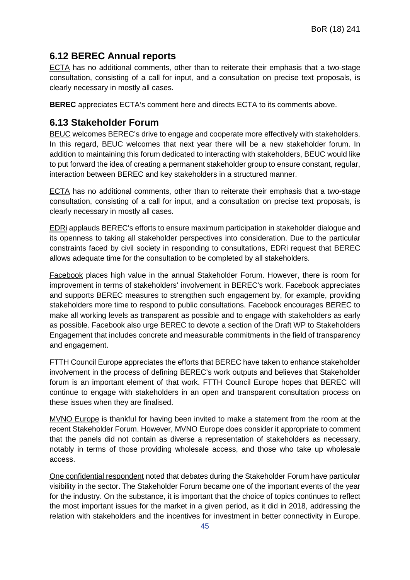## <span id="page-45-0"></span>**6.12 BEREC Annual reports**

ECTA has no additional comments, other than to reiterate their emphasis that a two-stage consultation, consisting of a call for input, and a consultation on precise text proposals, is clearly necessary in mostly all cases.

**BEREC** appreciates ECTA's comment here and directs ECTA to its comments above.

### <span id="page-45-1"></span>**6.13 Stakeholder Forum**

BEUC welcomes BEREC's drive to engage and cooperate more effectively with stakeholders. In this regard, BEUC welcomes that next year there will be a new stakeholder forum. In addition to maintaining this forum dedicated to interacting with stakeholders, BEUC would like to put forward the idea of creating a permanent stakeholder group to ensure constant, regular, interaction between BEREC and key stakeholders in a structured manner.

ECTA has no additional comments, other than to reiterate their emphasis that a two-stage consultation, consisting of a call for input, and a consultation on precise text proposals, is clearly necessary in mostly all cases.

EDRi applauds BEREC's efforts to ensure maximum participation in stakeholder dialogue and its openness to taking all stakeholder perspectives into consideration. Due to the particular constraints faced by civil society in responding to consultations, EDRi request that BEREC allows adequate time for the consultation to be completed by all stakeholders.

Facebook places high value in the annual Stakeholder Forum. However, there is room for improvement in terms of stakeholders' involvement in BEREC's work. Facebook appreciates and supports BEREC measures to strengthen such engagement by, for example, providing stakeholders more time to respond to public consultations. Facebook encourages BEREC to make all working levels as transparent as possible and to engage with stakeholders as early as possible. Facebook also urge BEREC to devote a section of the Draft WP to Stakeholders Engagement that includes concrete and measurable commitments in the field of transparency and engagement.

FTTH Council Europe appreciates the efforts that BEREC have taken to enhance stakeholder involvement in the process of defining BEREC's work outputs and believes that Stakeholder forum is an important element of that work. FTTH Council Europe hopes that BEREC will continue to engage with stakeholders in an open and transparent consultation process on these issues when they are finalised.

MVNO Europe is thankful for having been invited to make a statement from the room at the recent Stakeholder Forum. However, MVNO Europe does consider it appropriate to comment that the panels did not contain as diverse a representation of stakeholders as necessary, notably in terms of those providing wholesale access, and those who take up wholesale access.

One confidential respondent noted that debates during the Stakeholder Forum have particular visibility in the sector. The Stakeholder Forum became one of the important events of the year for the industry. On the substance, it is important that the choice of topics continues to reflect the most important issues for the market in a given period, as it did in 2018, addressing the relation with stakeholders and the incentives for investment in better connectivity in Europe.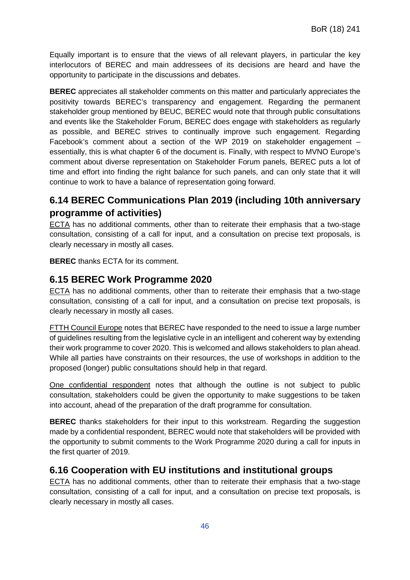Equally important is to ensure that the views of all relevant players, in particular the key interlocutors of BEREC and main addressees of its decisions are heard and have the opportunity to participate in the discussions and debates.

**BEREC** appreciates all stakeholder comments on this matter and particularly appreciates the positivity towards BEREC's transparency and engagement. Regarding the permanent stakeholder group mentioned by BEUC, BEREC would note that through public consultations and events like the Stakeholder Forum, BEREC does engage with stakeholders as regularly as possible, and BEREC strives to continually improve such engagement. Regarding Facebook's comment about a section of the WP 2019 on stakeholder engagement – essentially, this is what chapter 6 of the document is. Finally, with respect to MVNO Europe's comment about diverse representation on Stakeholder Forum panels, BEREC puts a lot of time and effort into finding the right balance for such panels, and can only state that it will continue to work to have a balance of representation going forward.

## <span id="page-46-0"></span>**6.14 BEREC Communications Plan 2019 (including 10th anniversary programme of activities)**

ECTA has no additional comments, other than to reiterate their emphasis that a two-stage consultation, consisting of a call for input, and a consultation on precise text proposals, is clearly necessary in mostly all cases.

**BEREC** thanks ECTA for its comment.

#### <span id="page-46-1"></span>**6.15 BEREC Work Programme 2020**

ECTA has no additional comments, other than to reiterate their emphasis that a two-stage consultation, consisting of a call for input, and a consultation on precise text proposals, is clearly necessary in mostly all cases.

FTTH Council Europe notes that BEREC have responded to the need to issue a large number of guidelines resulting from the legislative cycle in an intelligent and coherent way by extending their work programme to cover 2020. This is welcomed and allows stakeholders to plan ahead. While all parties have constraints on their resources, the use of workshops in addition to the proposed (longer) public consultations should help in that regard.

One confidential respondent notes that although the outline is not subject to public consultation, stakeholders could be given the opportunity to make suggestions to be taken into account, ahead of the preparation of the draft programme for consultation.

**BEREC** thanks stakeholders for their input to this workstream. Regarding the suggestion made by a confidential respondent, BEREC would note that stakeholders will be provided with the opportunity to submit comments to the Work Programme 2020 during a call for inputs in the first quarter of 2019.

#### <span id="page-46-2"></span>**6.16 Cooperation with EU institutions and institutional groups**

ECTA has no additional comments, other than to reiterate their emphasis that a two-stage consultation, consisting of a call for input, and a consultation on precise text proposals, is clearly necessary in mostly all cases.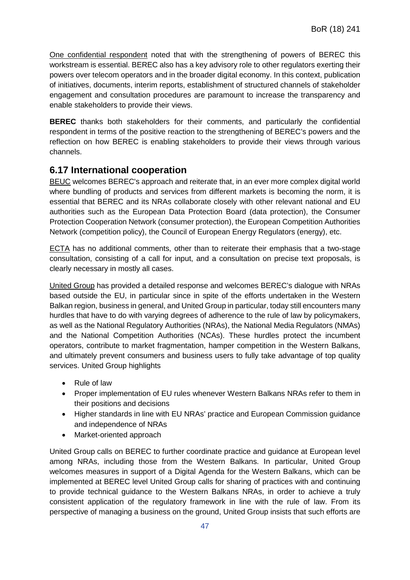One confidential respondent noted that with the strengthening of powers of BEREC this workstream is essential. BEREC also has a key advisory role to other regulators exerting their powers over telecom operators and in the broader digital economy. In this context, publication of initiatives, documents, interim reports, establishment of structured channels of stakeholder engagement and consultation procedures are paramount to increase the transparency and enable stakeholders to provide their views.

**BEREC** thanks both stakeholders for their comments, and particularly the confidential respondent in terms of the positive reaction to the strengthening of BEREC's powers and the reflection on how BEREC is enabling stakeholders to provide their views through various channels.

#### <span id="page-47-0"></span>**6.17 International cooperation**

BEUC welcomes BEREC's approach and reiterate that, in an ever more complex digital world where bundling of products and services from different markets is becoming the norm, it is essential that BEREC and its NRAs collaborate closely with other relevant national and EU authorities such as the European Data Protection Board (data protection), the Consumer Protection Cooperation Network (consumer protection), the European Competition Authorities Network (competition policy), the Council of European Energy Regulators (energy), etc.

ECTA has no additional comments, other than to reiterate their emphasis that a two-stage consultation, consisting of a call for input, and a consultation on precise text proposals, is clearly necessary in mostly all cases.

United Group has provided a detailed response and welcomes BEREC's dialogue with NRAs based outside the EU, in particular since in spite of the efforts undertaken in the Western Balkan region, business in general, and United Group in particular, today still encounters many hurdles that have to do with varying degrees of adherence to the rule of law by policymakers, as well as the National Regulatory Authorities (NRAs), the National Media Regulators (NMAs) and the National Competition Authorities (NCAs). These hurdles protect the incumbent operators, contribute to market fragmentation, hamper competition in the Western Balkans, and ultimately prevent consumers and business users to fully take advantage of top quality services. United Group highlights

- Rule of law
- Proper implementation of EU rules whenever Western Balkans NRAs refer to them in their positions and decisions
- Higher standards in line with EU NRAs' practice and European Commission guidance and independence of NRAs
- Market-oriented approach

United Group calls on BEREC to further coordinate practice and guidance at European level among NRAs, including those from the Western Balkans. In particular, United Group welcomes measures in support of a Digital Agenda for the Western Balkans, which can be implemented at BEREC level United Group calls for sharing of practices with and continuing to provide technical guidance to the Western Balkans NRAs, in order to achieve a truly consistent application of the regulatory framework in line with the rule of law. From its perspective of managing a business on the ground, United Group insists that such efforts are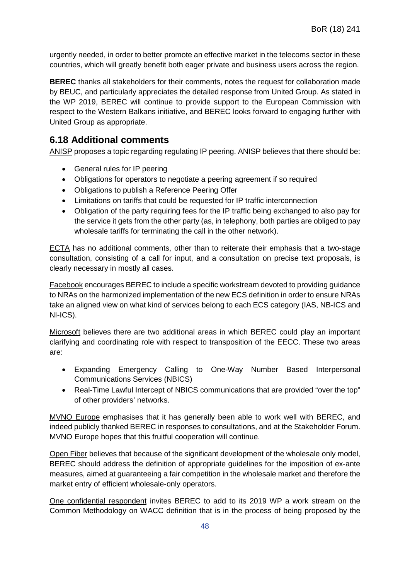urgently needed, in order to better promote an effective market in the telecoms sector in these countries, which will greatly benefit both eager private and business users across the region.

**BEREC** thanks all stakeholders for their comments, notes the request for collaboration made by BEUC, and particularly appreciates the detailed response from United Group. As stated in the WP 2019, BEREC will continue to provide support to the European Commission with respect to the Western Balkans initiative, and BEREC looks forward to engaging further with United Group as appropriate.

### <span id="page-48-0"></span>**6.18 Additional comments**

ANISP proposes a topic regarding regulating IP peering. ANISP believes that there should be:

- General rules for IP peering
- Obligations for operators to negotiate a peering agreement if so required
- Obligations to publish a Reference Peering Offer
- Limitations on tariffs that could be requested for IP traffic interconnection
- Obligation of the party requiring fees for the IP traffic being exchanged to also pay for the service it gets from the other party (as, in telephony, both parties are obliged to pay wholesale tariffs for terminating the call in the other network).

ECTA has no additional comments, other than to reiterate their emphasis that a two-stage consultation, consisting of a call for input, and a consultation on precise text proposals, is clearly necessary in mostly all cases.

Facebook encourages BEREC to include a specific workstream devoted to providing guidance to NRAs on the harmonized implementation of the new ECS definition in order to ensure NRAs take an aligned view on what kind of services belong to each ECS category (IAS, NB-ICS and NI-ICS).

Microsoft believes there are two additional areas in which BEREC could play an important clarifying and coordinating role with respect to transposition of the EECC. These two areas are:

- Expanding Emergency Calling to One-Way Number Based Interpersonal Communications Services (NBICS)
- Real-Time Lawful Intercept of NBICS communications that are provided "over the top" of other providers' networks.

MVNO Europe emphasises that it has generally been able to work well with BEREC, and indeed publicly thanked BEREC in responses to consultations, and at the Stakeholder Forum. MVNO Europe hopes that this fruitful cooperation will continue.

Open Fiber believes that because of the significant development of the wholesale only model, BEREC should address the definition of appropriate guidelines for the imposition of ex-ante measures, aimed at guaranteeing a fair competition in the wholesale market and therefore the market entry of efficient wholesale-only operators.

One confidential respondent invites BEREC to add to its 2019 WP a work stream on the Common Methodology on WACC definition that is in the process of being proposed by the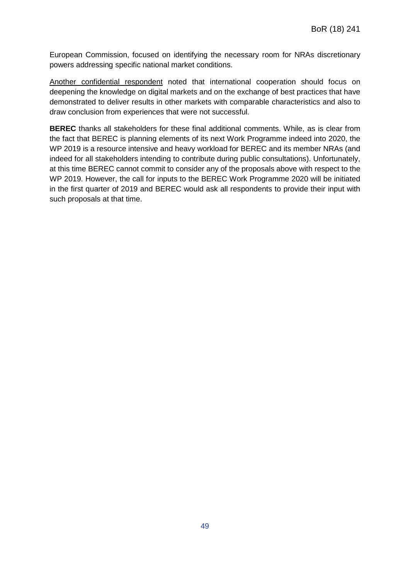European Commission, focused on identifying the necessary room for NRAs discretionary powers addressing specific national market conditions.

Another confidential respondent noted that international cooperation should focus on deepening the knowledge on digital markets and on the exchange of best practices that have demonstrated to deliver results in other markets with comparable characteristics and also to draw conclusion from experiences that were not successful.

**BEREC** thanks all stakeholders for these final additional comments. While, as is clear from the fact that BEREC is planning elements of its next Work Programme indeed into 2020, the WP 2019 is a resource intensive and heavy workload for BEREC and its member NRAs (and indeed for all stakeholders intending to contribute during public consultations). Unfortunately, at this time BEREC cannot commit to consider any of the proposals above with respect to the WP 2019. However, the call for inputs to the BEREC Work Programme 2020 will be initiated in the first quarter of 2019 and BEREC would ask all respondents to provide their input with such proposals at that time.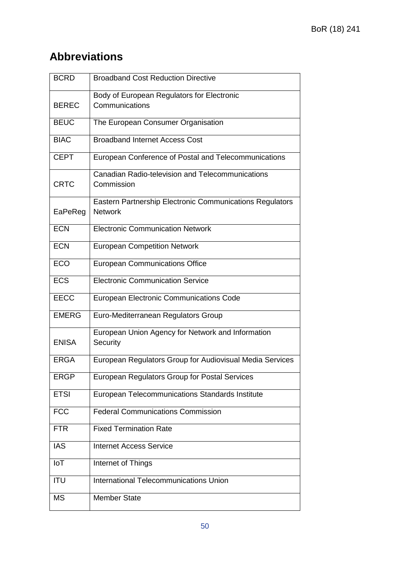## **Abbreviations**

| <b>BCRD</b>  | <b>Broadband Cost Reduction Directive</b>                                  |
|--------------|----------------------------------------------------------------------------|
|              | Body of European Regulators for Electronic                                 |
| <b>BEREC</b> | Communications                                                             |
| <b>BEUC</b>  | The European Consumer Organisation                                         |
| <b>BIAC</b>  | <b>Broadband Internet Access Cost</b>                                      |
| <b>CEPT</b>  | European Conference of Postal and Telecommunications                       |
| <b>CRTC</b>  | Canadian Radio-television and Telecommunications<br>Commission             |
| EaPeReg      | Eastern Partnership Electronic Communications Regulators<br><b>Network</b> |
| <b>ECN</b>   | <b>Electronic Communication Network</b>                                    |
| <b>ECN</b>   | <b>European Competition Network</b>                                        |
| <b>ECO</b>   | <b>European Communications Office</b>                                      |
| <b>ECS</b>   | <b>Electronic Communication Service</b>                                    |
| <b>EECC</b>  | European Electronic Communications Code                                    |
| <b>EMERG</b> | Euro-Mediterranean Regulators Group                                        |
| <b>ENISA</b> | European Union Agency for Network and Information<br>Security              |
| <b>ERGA</b>  | European Regulators Group for Audiovisual Media Services                   |
| <b>ERGP</b>  | European Regulators Group for Postal Services                              |
| <b>ETSI</b>  | European Telecommunications Standards Institute                            |
| <b>FCC</b>   | <b>Federal Communications Commission</b>                                   |
| <b>FTR</b>   | <b>Fixed Termination Rate</b>                                              |
| <b>IAS</b>   | <b>Internet Access Service</b>                                             |
| IoT          | Internet of Things                                                         |
| <b>ITU</b>   | International Telecommunications Union                                     |
| <b>MS</b>    | <b>Member State</b>                                                        |